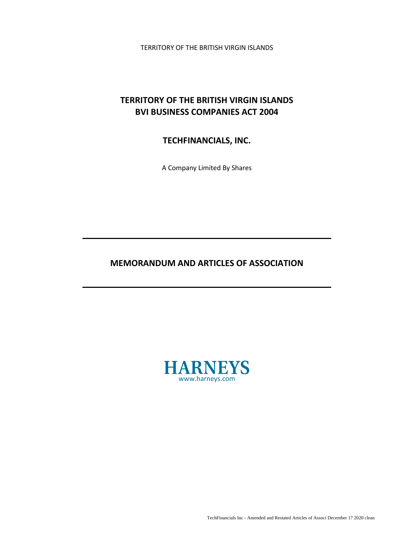TERRITORY OF THE BRITISH VIRGIN ISLANDS

# **TERRITORY OF THE BRITISH VIRGIN ISLANDS BVI BUSINESS COMPANIES ACT 2004**

**TECHFINANCIALS, INC.**

A Company Limited By Shares

# **MEMORANDUM AND ARTICLES OF ASSOCIATION**

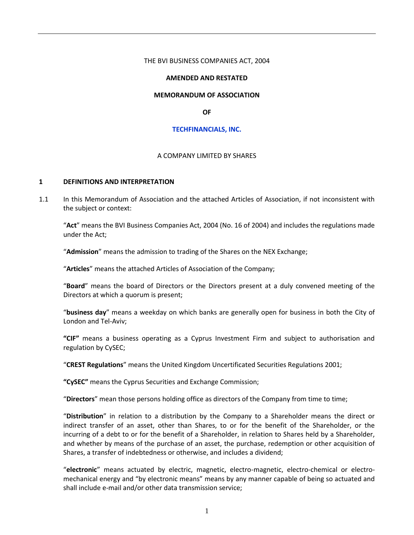#### THE BVI BUSINESS COMPANIES ACT, 2004

#### **AMENDED AND RESTATED**

#### **MEMORANDUM OF ASSOCIATION**

**OF**

#### **TECHFINANCIALS, INC.**

#### A COMPANY LIMITED BY SHARES

#### **1 DEFINITIONS AND INTERPRETATION**

1.1 In this Memorandum of Association and the attached Articles of Association, if not inconsistent with the subject or context:

"**Act**" means the BVI Business Companies Act, 2004 (No. 16 of 2004) and includes the regulations made under the Act;

"**Admission**" means the admission to trading of the Shares on the NEX Exchange;

"**Articles**" means the attached Articles of Association of the Company;

"**Board**" means the board of Directors or the Directors present at a duly convened meeting of the Directors at which a quorum is present;

"**business day**" means a weekday on which banks are generally open for business in both the City of London and Tel-Aviv;

**"CIF"** means a business operating as a Cyprus Investment Firm and subject to authorisation and regulation by CySEC;

"**CREST Regulations**" means the United Kingdom Uncertificated Securities Regulations 2001;

**"CySEC"** means the Cyprus Securities and Exchange Commission;

"**Directors**" mean those persons holding office as directors of the Company from time to time;

"**Distribution**" in relation to a distribution by the Company to a Shareholder means the direct or indirect transfer of an asset, other than Shares, to or for the benefit of the Shareholder, or the incurring of a debt to or for the benefit of a Shareholder, in relation to Shares held by a Shareholder, and whether by means of the purchase of an asset, the purchase, redemption or other acquisition of Shares, a transfer of indebtedness or otherwise, and includes a dividend;

"**electronic**" means actuated by electric, magnetic, electro-magnetic, electro-chemical or electromechanical energy and "by electronic means" means by any manner capable of being so actuated and shall include e-mail and/or other data transmission service;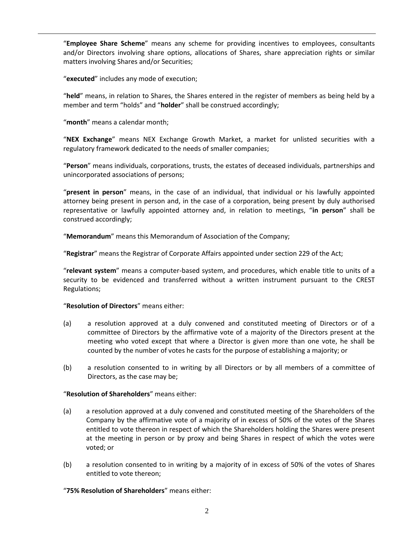"**Employee Share Scheme**" means any scheme for providing incentives to employees, consultants and/or Directors involving share options, allocations of Shares, share appreciation rights or similar matters involving Shares and/or Securities;

"**executed**" includes any mode of execution;

"**held**" means, in relation to Shares, the Shares entered in the register of members as being held by a member and term "holds" and "**holder**" shall be construed accordingly;

"**month**" means a calendar month;

"**NEX Exchange**" means NEX Exchange Growth Market, a market for unlisted securities with a regulatory framework dedicated to the needs of smaller companies;

"**Person**" means individuals, corporations, trusts, the estates of deceased individuals, partnerships and unincorporated associations of persons;

"**present in person**" means, in the case of an individual, that individual or his lawfully appointed attorney being present in person and, in the case of a corporation, being present by duly authorised representative or lawfully appointed attorney and, in relation to meetings, "**in person**" shall be construed accordingly;

"**Memorandum**" means this Memorandum of Association of the Company;

"**Registrar**" means the Registrar of Corporate Affairs appointed under section 229 of the Act;

"**relevant system**" means a computer-based system, and procedures, which enable title to units of a security to be evidenced and transferred without a written instrument pursuant to the CREST Regulations;

# "**Resolution of Directors**" means either:

- (a) a resolution approved at a duly convened and constituted meeting of Directors or of a committee of Directors by the affirmative vote of a majority of the Directors present at the meeting who voted except that where a Director is given more than one vote, he shall be counted by the number of votes he casts for the purpose of establishing a majority; or
- (b) a resolution consented to in writing by all Directors or by all members of a committee of Directors, as the case may be;

# "**Resolution of Shareholders**" means either:

- (a) a resolution approved at a duly convened and constituted meeting of the Shareholders of the Company by the affirmative vote of a majority of in excess of 50% of the votes of the Shares entitled to vote thereon in respect of which the Shareholders holding the Shares were present at the meeting in person or by proxy and being Shares in respect of which the votes were voted; or
- (b) a resolution consented to in writing by a majority of in excess of 50% of the votes of Shares entitled to vote thereon;

# "**75% Resolution of Shareholders**" means either: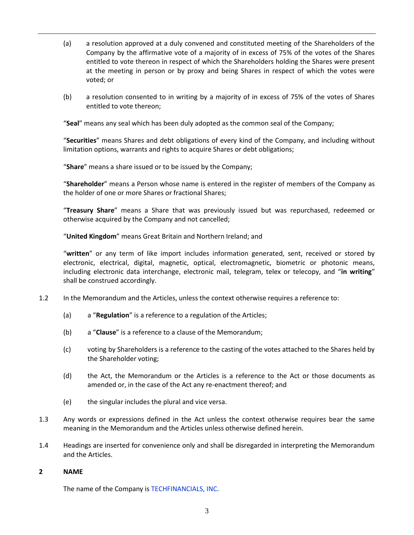- (a) a resolution approved at a duly convened and constituted meeting of the Shareholders of the Company by the affirmative vote of a majority of in excess of 75% of the votes of the Shares entitled to vote thereon in respect of which the Shareholders holding the Shares were present at the meeting in person or by proxy and being Shares in respect of which the votes were voted; or
- (b) a resolution consented to in writing by a majority of in excess of 75% of the votes of Shares entitled to vote thereon;

"**Seal**" means any seal which has been duly adopted as the common seal of the Company;

"**Securities**" means Shares and debt obligations of every kind of the Company, and including without limitation options, warrants and rights to acquire Shares or debt obligations;

"**Share**" means a share issued or to be issued by the Company;

"**Shareholder**" means a Person whose name is entered in the register of members of the Company as the holder of one or more Shares or fractional Shares;

"**Treasury Share**" means a Share that was previously issued but was repurchased, redeemed or otherwise acquired by the Company and not cancelled;

"**United Kingdom**" means Great Britain and Northern Ireland; and

"**written**" or any term of like import includes information generated, sent, received or stored by electronic, electrical, digital, magnetic, optical, electromagnetic, biometric or photonic means, including electronic data interchange, electronic mail, telegram, telex or telecopy, and "**in writing**" shall be construed accordingly.

- 1.2 In the Memorandum and the Articles, unless the context otherwise requires a reference to:
	- (a) a "**Regulation**" is a reference to a regulation of the Articles;
	- (b) a "**Clause**" is a reference to a clause of the Memorandum;
	- (c) voting by Shareholders is a reference to the casting of the votes attached to the Shares held by the Shareholder voting;
	- (d) the Act, the Memorandum or the Articles is a reference to the Act or those documents as amended or, in the case of the Act any re-enactment thereof; and
	- (e) the singular includes the plural and vice versa.
- 1.3 Any words or expressions defined in the Act unless the context otherwise requires bear the same meaning in the Memorandum and the Articles unless otherwise defined herein.
- 1.4 Headings are inserted for convenience only and shall be disregarded in interpreting the Memorandum and the Articles.

# **2 NAME**

The name of the Company is TECHFINANCIALS, INC.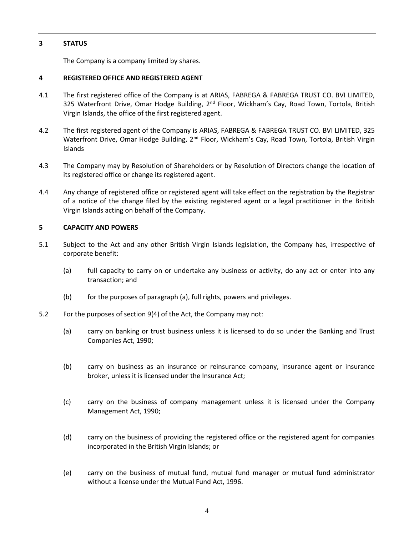# **3 STATUS**

The Company is a company limited by shares.

### **4 REGISTERED OFFICE AND REGISTERED AGENT**

- 4.1 The first registered office of the Company is at ARIAS, FABREGA & FABREGA TRUST CO. BVI LIMITED, 325 Waterfront Drive, Omar Hodge Building, 2<sup>nd</sup> Floor, Wickham's Cay, Road Town, Tortola, British Virgin Islands, the office of the first registered agent.
- 4.2 The first registered agent of the Company is ARIAS, FABREGA & FABREGA TRUST CO. BVI LIMITED, 325 Waterfront Drive, Omar Hodge Building, 2<sup>nd</sup> Floor, Wickham's Cay, Road Town, Tortola, British Virgin Islands
- 4.3 The Company may by Resolution of Shareholders or by Resolution of Directors change the location of its registered office or change its registered agent.
- 4.4 Any change of registered office or registered agent will take effect on the registration by the Registrar of a notice of the change filed by the existing registered agent or a legal practitioner in the British Virgin Islands acting on behalf of the Company.

### **5 CAPACITY AND POWERS**

- 5.1 Subject to the Act and any other British Virgin Islands legislation, the Company has, irrespective of corporate benefit:
	- (a) full capacity to carry on or undertake any business or activity, do any act or enter into any transaction; and
	- (b) for the purposes of paragraph (a), full rights, powers and privileges.
- 5.2 For the purposes of section 9(4) of the Act, the Company may not:
	- (a) carry on banking or trust business unless it is licensed to do so under the Banking and Trust Companies Act, 1990;
	- (b) carry on business as an insurance or reinsurance company, insurance agent or insurance broker, unless it is licensed under the Insurance Act;
	- (c) carry on the business of company management unless it is licensed under the Company Management Act, 1990;
	- (d) carry on the business of providing the registered office or the registered agent for companies incorporated in the British Virgin Islands; or
	- (e) carry on the business of mutual fund, mutual fund manager or mutual fund administrator without a license under the Mutual Fund Act, 1996.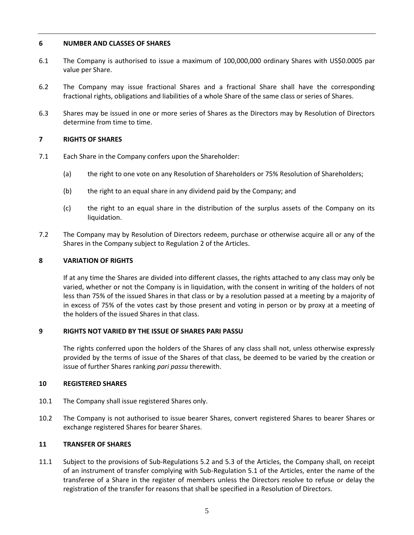### **6 NUMBER AND CLASSES OF SHARES**

- 6.1 The Company is authorised to issue a maximum of 100,000,000 ordinary Shares with US\$0.0005 par value per Share.
- 6.2 The Company may issue fractional Shares and a fractional Share shall have the corresponding fractional rights, obligations and liabilities of a whole Share of the same class or series of Shares.
- 6.3 Shares may be issued in one or more series of Shares as the Directors may by Resolution of Directors determine from time to time.

#### **7 RIGHTS OF SHARES**

- 7.1 Each Share in the Company confers upon the Shareholder:
	- (a) the right to one vote on any Resolution of Shareholders or 75% Resolution of Shareholders;
	- (b) the right to an equal share in any dividend paid by the Company; and
	- (c) the right to an equal share in the distribution of the surplus assets of the Company on its liquidation.
- <span id="page-5-1"></span>7.2 The Company may by Resolution of Directors redeem, purchase or otherwise acquire all or any of the Shares in the Company subject to Regulation 2 of the Articles.

#### <span id="page-5-0"></span>**8 VARIATION OF RIGHTS**

If at any time the Shares are divided into different classes, the rights attached to any class may only be varied, whether or not the Company is in liquidation, with the consent in writing of the holders of not less than 75% of the issued Shares in that class or by a resolution passed at a meeting by a majority of in excess of 75% of the votes cast by those present and voting in person or by proxy at a meeting of the holders of the issued Shares in that class.

#### **9 RIGHTS NOT VARIED BY THE ISSUE OF SHARES PARI PASSU**

The rights conferred upon the holders of the Shares of any class shall not, unless otherwise expressly provided by the terms of issue of the Shares of that class, be deemed to be varied by the creation or issue of further Shares ranking *pari passu* therewith.

#### **10 REGISTERED SHARES**

- 10.1 The Company shall issue registered Shares only.
- 10.2 The Company is not authorised to issue bearer Shares, convert registered Shares to bearer Shares or exchange registered Shares for bearer Shares.

#### **11 TRANSFER OF SHARES**

11.1 Subject to the provisions of Sub-Regulations 5.2 and 5.3 of the Articles, the Company shall, on receipt of an instrument of transfer complying with Sub-Regulation [5.1](#page-12-0) of the Articles, enter the name of the transferee of a Share in the register of members unless the Directors resolve to refuse or delay the registration of the transfer for reasons that shall be specified in a Resolution of Directors.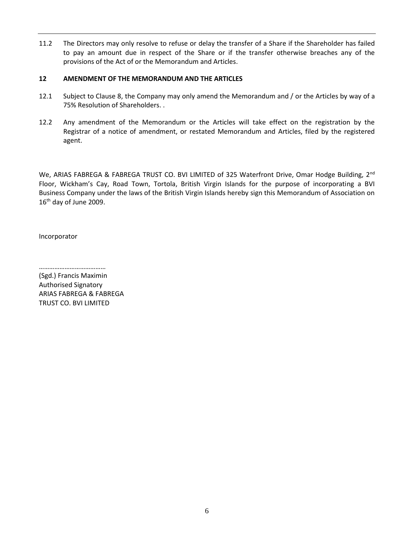11.2 The Directors may only resolve to refuse or delay the transfer of a Share if the Shareholder has failed to pay an amount due in respect of the Share or if the transfer otherwise breaches any of the provisions of the Act of or the Memorandum and Articles.

# **12 AMENDMENT OF THE MEMORANDUM AND THE ARTICLES**

- 12.1 Subject to Clause [8,](#page-5-0) the Company may only amend the Memorandum and / or the Articles by way of a 75% Resolution of Shareholders. .
- 12.2 Any amendment of the Memorandum or the Articles will take effect on the registration by the Registrar of a notice of amendment, or restated Memorandum and Articles, filed by the registered agent.

We, ARIAS FABREGA & FABREGA TRUST CO. BVI LIMITED of 325 Waterfront Drive, Omar Hodge Building, 2<sup>nd</sup> Floor, Wickham's Cay, Road Town, Tortola, British Virgin Islands for the purpose of incorporating a BVI Business Company under the laws of the British Virgin Islands hereby sign this Memorandum of Association on 16<sup>th</sup> day of June 2009.

Incorporator

………………………………… (Sgd.) Francis Maximin Authorised Signatory ARIAS FABREGA & FABREGA TRUST CO. BVI LIMITED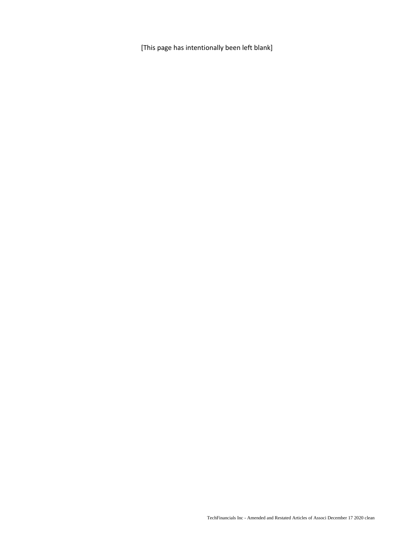[This page has intentionally been left blank]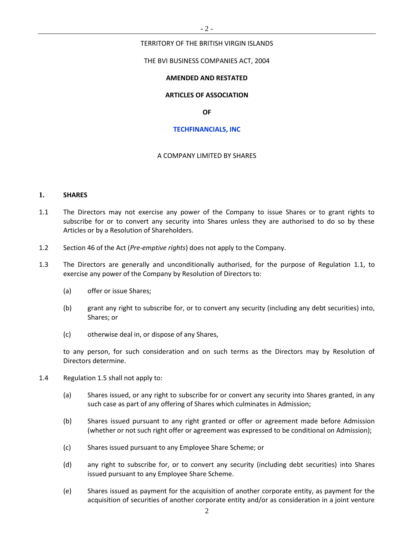#### $-2-$

#### TERRITORY OF THE BRITISH VIRGIN ISLANDS

#### THE BVI BUSINESS COMPANIES ACT, 2004

#### **AMENDED AND RESTATED**

#### **ARTICLES OF ASSOCIATION**

**OF**

#### **TECHFINANCIALS, INC**

#### A COMPANY LIMITED BY SHARES

#### **1. SHARES**

- <span id="page-8-0"></span>1.1 The Directors may not exercise any power of the Company to issue Shares or to grant rights to subscribe for or to convert any security into Shares unless they are authorised to do so by these Articles or by a Resolution of Shareholders.
- 1.2 Section 46 of the Act (*Pre-emptive rights*) does not apply to the Company.
- 1.3 The Directors are generally and unconditionally authorised, for the purpose of Regulation 1.1, to exercise any power of the Company by Resolution of Directors to:
	- (a) offer or issue Shares;
	- (b) grant any right to subscribe for, or to convert any security (including any debt securities) into, Shares; or
	- (c) otherwise deal in, or dispose of any Shares,

to any person, for such consideration and on such terms as the Directors may by Resolution of Directors determine.

- 1.4 Regulation 1.5 shall not apply to:
	- (a) Shares issued, or any right to subscribe for or convert any security into Shares granted, in any such case as part of any offering of Shares which culminates in Admission;
	- (b) Shares issued pursuant to any right granted or offer or agreement made before Admission (whether or not such right offer or agreement was expressed to be conditional on Admission);
	- (c) Shares issued pursuant to any Employee Share Scheme; or
	- (d) any right to subscribe for, or to convert any security (including debt securities) into Shares issued pursuant to any Employee Share Scheme.
	- (e) Shares issued as payment for the acquisition of another corporate entity, as payment for the acquisition of securities of another corporate entity and/or as consideration in a joint venture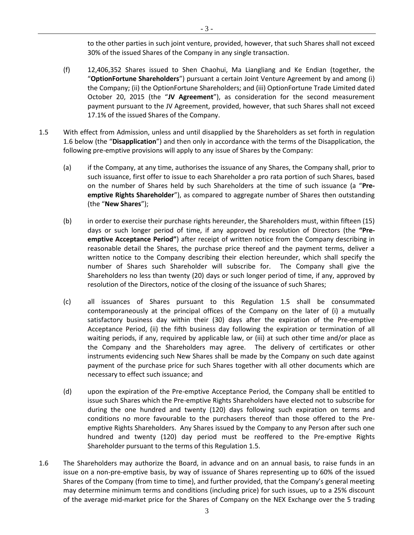to the other parties in such joint venture, provided, however, that such Shares shall not exceed 30% of the issued Shares of the Company in any single transaction.

- (f) 12,406,352 Shares issued to Shen Chaohui, Ma Liangliang and Ke Endian (together, the "**OptionFortune Shareholders**") pursuant a certain Joint Venture Agreement by and among (i) the Company; (ii) the OptionFortune Shareholders; and (iii) OptionFortune Trade Limited dated October 20, 2015 (the "**JV Agreement**"), as consideration for the second measurement payment pursuant to the JV Agreement, provided, however, that such Shares shall not exceed 17.1% of the issued Shares of the Company.
- <span id="page-9-1"></span>1.5 With effect from Admission, unless and until disapplied by the Shareholders as set forth in regulation [1.6](#page-9-0) below (the "**Disapplication**") and then only in accordance with the terms of the Disapplication, the following pre-emptive provisions will apply to any issue of Shares by the Company:
	- (a) if the Company, at any time, authorises the issuance of any Shares, the Company shall, prior to such issuance, first offer to issue to each Shareholder a pro rata portion of such Shares, based on the number of Shares held by such Shareholders at the time of such issuance (a "**Preemptive Rights Shareholder**"), as compared to aggregate number of Shares then outstanding (the "**New Shares**");
	- (b) in order to exercise their purchase rights hereunder, the Shareholders must, within fifteen (15) days or such longer period of time, if any approved by resolution of Directors (the **"Preemptive Acceptance Period"**) after receipt of written notice from the Company describing in reasonable detail the Shares, the purchase price thereof and the payment terms, deliver a written notice to the Company describing their election hereunder, which shall specify the number of Shares such Shareholder will subscribe for. The Company shall give the Shareholders no less than twenty (20) days or such longer period of time, if any, approved by resolution of the Directors, notice of the closing of the issuance of such Shares;
	- (c) all issuances of Shares pursuant to this Regulation 1.5 shall be consummated contemporaneously at the principal offices of the Company on the later of (i) a mutually satisfactory business day within their (30) days after the expiration of the Pre-emptive Acceptance Period, (ii) the fifth business day following the expiration or termination of all waiting periods, if any, required by applicable law, or (iii) at such other time and/or place as the Company and the Shareholders may agree. The delivery of certificates or other instruments evidencing such New Shares shall be made by the Company on such date against payment of the purchase price for such Shares together with all other documents which are necessary to effect such issuance; and
	- (d) upon the expiration of the Pre-emptive Acceptance Period, the Company shall be entitled to issue such Shares which the Pre-emptive Rights Shareholders have elected not to subscribe for during the one hundred and twenty (120) days following such expiration on terms and conditions no more favourable to the purchasers thereof than those offered to the Preemptive Rights Shareholders. Any Shares issued by the Company to any Person after such one hundred and twenty (120) day period must be reoffered to the Pre-emptive Rights Shareholder pursuant to the terms of this Regulation 1.5.
- <span id="page-9-0"></span>1.6 The Shareholders may authorize the Board, in advance and on an annual basis, to raise funds in an issue on a non-pre-emptive basis, by way of issuance of Shares representing up to 60% of the issued Shares of the Company (from time to time), and further provided, that the Company's general meeting may determine minimum terms and conditions (including price) for such issues, up to a 25% discount of the average mid-market price for the Shares of Company on the NEX Exchange over the 5 trading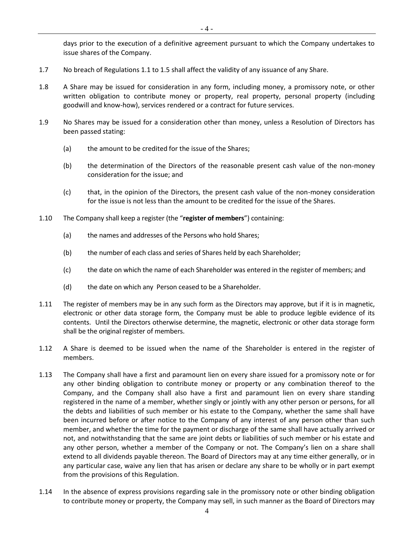days prior to the execution of a definitive agreement pursuant to which the Company undertakes to issue shares of the Company.

- 1.7 No breach of Regulation[s 1.1](#page-8-0) to [1.5](#page-9-1) shall affect the validity of any issuance of any Share.
- 1.8 A Share may be issued for consideration in any form, including money, a promissory note, or other written obligation to contribute money or property, real property, personal property (including goodwill and know-how), services rendered or a contract for future services.
- 1.9 No Shares may be issued for a consideration other than money, unless a Resolution of Directors has been passed stating:
	- (a) the amount to be credited for the issue of the Shares;
	- (b) the determination of the Directors of the reasonable present cash value of the non-money consideration for the issue; and
	- (c) that, in the opinion of the Directors, the present cash value of the non-money consideration for the issue is not less than the amount to be credited for the issue of the Shares.
- 1.10 The Company shall keep a register (the "**register of members**") containing:
	- (a) the names and addresses of the Persons who hold Shares;
	- (b) the number of each class and series of Shares held by each Shareholder;
	- (c) the date on which the name of each Shareholder was entered in the register of members; and
	- (d) the date on which any Person ceased to be a Shareholder.
- 1.11 The register of members may be in any such form as the Directors may approve, but if it is in magnetic, electronic or other data storage form, the Company must be able to produce legible evidence of its contents. Until the Directors otherwise determine, the magnetic, electronic or other data storage form shall be the original register of members.
- 1.12 A Share is deemed to be issued when the name of the Shareholder is entered in the register of members.
- 1.13 The Company shall have a first and paramount lien on every share issued for a promissory note or for any other binding obligation to contribute money or property or any combination thereof to the Company, and the Company shall also have a first and paramount lien on every share standing registered in the name of a member, whether singly or jointly with any other person or persons, for all the debts and liabilities of such member or his estate to the Company, whether the same shall have been incurred before or after notice to the Company of any interest of any person other than such member, and whether the time for the payment or discharge of the same shall have actually arrived or not, and notwithstanding that the same are joint debts or liabilities of such member or his estate and any other person, whether a member of the Company or not. The Company's lien on a share shall extend to all dividends payable thereon. The Board of Directors may at any time either generally, or in any particular case, waive any lien that has arisen or declare any share to be wholly or in part exempt from the provisions of this Regulation.
- 1.14 In the absence of express provisions regarding sale in the promissory note or other binding obligation to contribute money or property, the Company may sell, in such manner as the Board of Directors may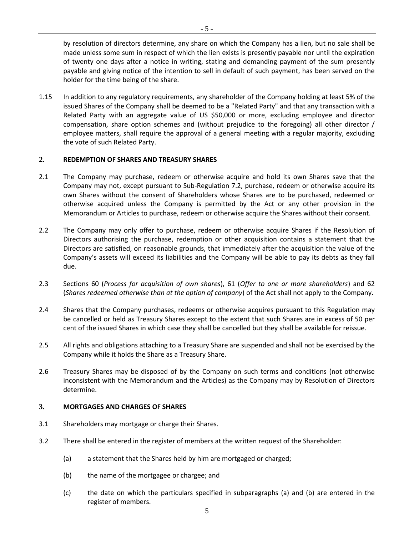by resolution of directors determine, any share on which the Company has a lien, but no sale shall be made unless some sum in respect of which the lien exists is presently payable nor until the expiration of twenty one days after a notice in writing, stating and demanding payment of the sum presently payable and giving notice of the intention to sell in default of such payment, has been served on the holder for the time being of the share.

1.15 In addition to any regulatory requirements, any shareholder of the Company holding at least 5% of the issued Shares of the Company shall be deemed to be a "Related Party" and that any transaction with a Related Party with an aggregate value of US \$50,000 or more, excluding employee and director compensation, share option schemes and (without prejudice to the foregoing) all other director / employee matters, shall require the approval of a general meeting with a regular majority, excluding the vote of such Related Party.

### **2. REDEMPTION OF SHARES AND TREASURY SHARES**

- 2.1 The Company may purchase, redeem or otherwise acquire and hold its own Shares save that the Company may not, except pursuant to Sub-Regulation [7.2,](#page-5-1) purchase, redeem or otherwise acquire its own Shares without the consent of Shareholders whose Shares are to be purchased, redeemed or otherwise acquired unless the Company is permitted by the Act or any other provision in the Memorandum or Articles to purchase, redeem or otherwise acquire the Shares without their consent.
- 2.2 The Company may only offer to purchase, redeem or otherwise acquire Shares if the Resolution of Directors authorising the purchase, redemption or other acquisition contains a statement that the Directors are satisfied, on reasonable grounds, that immediately after the acquisition the value of the Company's assets will exceed its liabilities and the Company will be able to pay its debts as they fall due.
- 2.3 Sections 60 (*Process for acquisition of own shares*), 61 (*Offer to one or more shareholders*) and 62 (*Shares redeemed otherwise than at the option of company*) of the Act shall not apply to the Company.
- 2.4 Shares that the Company purchases, redeems or otherwise acquires pursuant to this Regulation may be cancelled or held as Treasury Shares except to the extent that such Shares are in excess of 50 per cent of the issued Shares in which case they shall be cancelled but they shall be available for reissue.
- 2.5 All rights and obligations attaching to a Treasury Share are suspended and shall not be exercised by the Company while it holds the Share as a Treasury Share.
- 2.6 Treasury Shares may be disposed of by the Company on such terms and conditions (not otherwise inconsistent with the Memorandum and the Articles) as the Company may by Resolution of Directors determine.

#### **3. MORTGAGES AND CHARGES OF SHARES**

- 3.1 Shareholders may mortgage or charge their Shares.
- 3.2 There shall be entered in the register of members at the written request of the Shareholder:
	- (a) a statement that the Shares held by him are mortgaged or charged;
	- (b) the name of the mortgagee or chargee; and
	- (c) the date on which the particulars specified in subparagraphs (a) and (b) are entered in the register of members.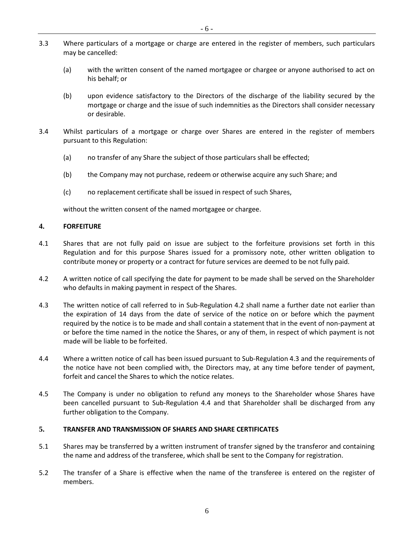- (a) with the written consent of the named mortgagee or chargee or anyone authorised to act on his behalf; or
- (b) upon evidence satisfactory to the Directors of the discharge of the liability secured by the mortgage or charge and the issue of such indemnities as the Directors shall consider necessary or desirable.
- 3.4 Whilst particulars of a mortgage or charge over Shares are entered in the register of members pursuant to this Regulation:
	- (a) no transfer of any Share the subject of those particulars shall be effected;
	- (b) the Company may not purchase, redeem or otherwise acquire any such Share; and
	- (c) no replacement certificate shall be issued in respect of such Shares,

without the written consent of the named mortgagee or chargee.

# **4. FORFEITURE**

- 4.1 Shares that are not fully paid on issue are subject to the forfeiture provisions set forth in this Regulation and for this purpose Shares issued for a promissory note, other written obligation to contribute money or property or a contract for future services are deemed to be not fully paid.
- <span id="page-12-1"></span>4.2 A written notice of call specifying the date for payment to be made shall be served on the Shareholder who defaults in making payment in respect of the Shares.
- <span id="page-12-2"></span>4.3 The written notice of call referred to in Sub-Regulation [4.2](#page-12-1) shall name a further date not earlier than the expiration of 14 days from the date of service of the notice on or before which the payment required by the notice is to be made and shall contain a statement that in the event of non-payment at or before the time named in the notice the Shares, or any of them, in respect of which payment is not made will be liable to be forfeited.
- <span id="page-12-3"></span>4.4 Where a written notice of call has been issued pursuant to Sub-Regulatio[n 4.3](#page-12-2) and the requirements of the notice have not been complied with, the Directors may, at any time before tender of payment, forfeit and cancel the Shares to which the notice relates.
- 4.5 The Company is under no obligation to refund any moneys to the Shareholder whose Shares have been cancelled pursuant to Sub-Regulation [4.4](#page-12-3) and that Shareholder shall be discharged from any further obligation to the Company.

# **5. TRANSFER AND TRANSMISSION OF SHARES AND SHARE CERTIFICATES**

- <span id="page-12-0"></span>5.1 Shares may be transferred by a written instrument of transfer signed by the transferor and containing the name and address of the transferee, which shall be sent to the Company for registration.
- 5.2 The transfer of a Share is effective when the name of the transferee is entered on the register of members.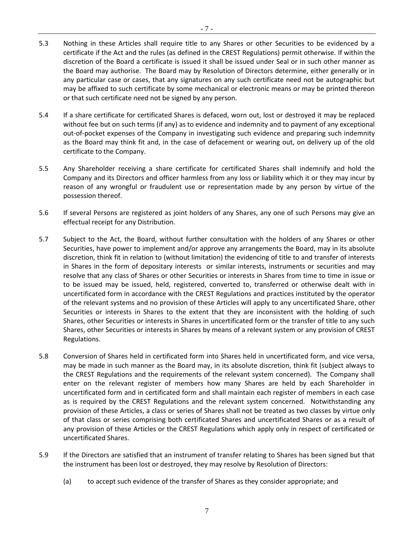- 5.3 Nothing in these Articles shall require title to any Shares or other Securities to be evidenced by a certificate if the Act and the rules (as defined in the CREST Regulations) permit otherwise. If within the discretion of the Board a certificate is issued it shall be issued under Seal or in such other manner as the Board may authorise. The Board may by Resolution of Directors determine, either generally or in any particular case or cases, that any signatures on any such certificate need not be autographic but may be affixed to such certificate by some mechanical or electronic means or may be printed thereon or that such certificate need not be signed by any person.
- 5.4 If a share certificate for certificated Shares is defaced, worn out, lost or destroyed it may be replaced without fee but on such terms (if any) as to evidence and indemnity and to payment of any exceptional out-of-pocket expenses of the Company in investigating such evidence and preparing such indemnity as the Board may think fit and, in the case of defacement or wearing out, on delivery up of the old certificate to the Company.
- 5.5 Any Shareholder receiving a share certificate for certificated Shares shall indemnify and hold the Company and its Directors and officer harmless from any loss or liability which it or they may incur by reason of any wrongful or fraudulent use or representation made by any person by virtue of the possession thereof.
- 5.6 If several Persons are registered as joint holders of any Shares, any one of such Persons may give an effectual receipt for any Distribution.
- 5.7 Subject to the Act, the Board, without further consultation with the holders of any Shares or other Securities, have power to implement and/or approve any arrangements the Board, may in its absolute discretion, think fit in relation to (without limitation) the evidencing of title to and transfer of interests in Shares in the form of depositary interests or similar interests, instruments or securities and may resolve that any class of Shares or other Securities or interests in Shares from time to time in issue or to be issued may be issued, held, registered, converted to, transferred or otherwise dealt with in uncertificated form in accordance with the CREST Regulations and practices instituted by the operator of the relevant systems and no provision of these Articles will apply to any uncertificated Share, other Securities or interests in Shares to the extent that they are inconsistent with the holding of such Shares, other Securities or interests in Shares in uncertificated form or the transfer of title to any such Shares, other Securities or interests in Shares by means of a relevant system or any provision of CREST Regulations.
- 5.8 Conversion of Shares held in certificated form into Shares held in uncertificated form, and vice versa, may be made in such manner as the Board may, in its absolute discretion, think fit (subject always to the CREST Regulations and the requirements of the relevant system concerned). The Company shall enter on the relevant register of members how many Shares are held by each Shareholder in uncertificated form and in certificated form and shall maintain each register of members in each case as is required by the CREST Regulations and the relevant system concerned. Notwithstanding any provision of these Articles, a class or series of Shares shall not be treated as two classes by virtue only of that class or series comprising both certificated Shares and uncertificated Shares or as a result of any provision of these Articles or the CREST Regulations which apply only in respect of certificated or uncertificated Shares.
- 5.9 If the Directors are satisfied that an instrument of transfer relating to Shares has been signed but that the instrument has been lost or destroyed, they may resolve by Resolution of Directors:
	- (a) to accept such evidence of the transfer of Shares as they consider appropriate; and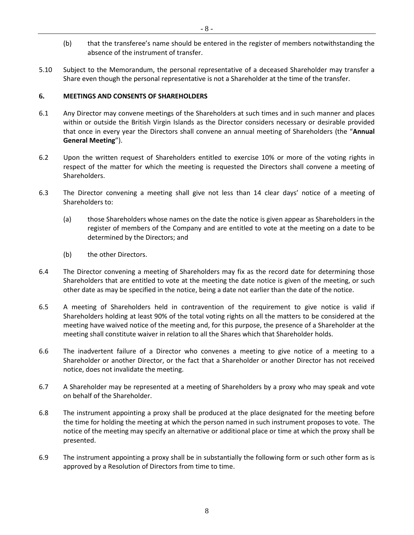- (b) that the transferee's name should be entered in the register of members notwithstanding the absence of the instrument of transfer.
- 5.10 Subject to the Memorandum, the personal representative of a deceased Shareholder may transfer a Share even though the personal representative is not a Shareholder at the time of the transfer.

# **6. MEETINGS AND CONSENTS OF SHAREHOLDERS**

- 6.1 Any Director may convene meetings of the Shareholders at such times and in such manner and places within or outside the British Virgin Islands as the Director considers necessary or desirable provided that once in every year the Directors shall convene an annual meeting of Shareholders (the "**Annual General Meeting**").
- 6.2 Upon the written request of Shareholders entitled to exercise 10% or more of the voting rights in respect of the matter for which the meeting is requested the Directors shall convene a meeting of Shareholders.
- 6.3 The Director convening a meeting shall give not less than 14 clear days' notice of a meeting of Shareholders to:
	- (a) those Shareholders whose names on the date the notice is given appear as Shareholders in the register of members of the Company and are entitled to vote at the meeting on a date to be determined by the Directors; and
	- (b) the other Directors.
- 6.4 The Director convening a meeting of Shareholders may fix as the record date for determining those Shareholders that are entitled to vote at the meeting the date notice is given of the meeting, or such other date as may be specified in the notice, being a date not earlier than the date of the notice.
- 6.5 A meeting of Shareholders held in contravention of the requirement to give notice is valid if Shareholders holding at least 90% of the total voting rights on all the matters to be considered at the meeting have waived notice of the meeting and, for this purpose, the presence of a Shareholder at the meeting shall constitute waiver in relation to all the Shares which that Shareholder holds.
- 6.6 The inadvertent failure of a Director who convenes a meeting to give notice of a meeting to a Shareholder or another Director, or the fact that a Shareholder or another Director has not received notice, does not invalidate the meeting.
- 6.7 A Shareholder may be represented at a meeting of Shareholders by a proxy who may speak and vote on behalf of the Shareholder.
- 6.8 The instrument appointing a proxy shall be produced at the place designated for the meeting before the time for holding the meeting at which the person named in such instrument proposes to vote. The notice of the meeting may specify an alternative or additional place or time at which the proxy shall be presented.
- 6.9 The instrument appointing a proxy shall be in substantially the following form or such other form as is approved by a Resolution of Directors from time to time.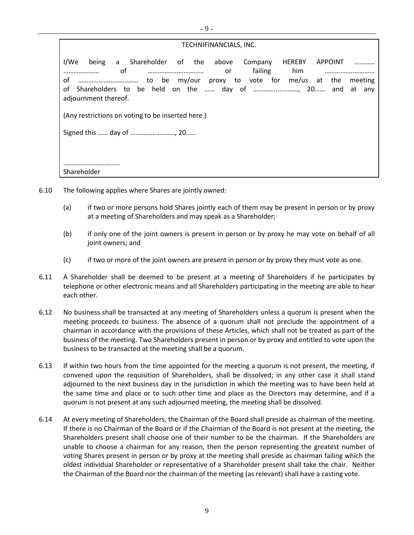| TECHNIFINANCIALS, INC.                            |                      |  |                        |  |  |         |             |  |         |         |               |         |  |  |         |
|---------------------------------------------------|----------------------|--|------------------------|--|--|---------|-------------|--|---------|---------|---------------|---------|--|--|---------|
| I/We                                              | being                |  | a Shareholder of<br>οf |  |  | the<br> | above<br>or |  | Company | failing | HEREBY<br>him | APPOINT |  |  |         |
| οf                                                |                      |  |                        |  |  |         |             |  |         |         |               |         |  |  | meeting |
| of                                                | adjournment thereof. |  |                        |  |  |         |             |  |         |         |               |         |  |  |         |
| (Any restrictions on voting to be inserted here.) |                      |  |                        |  |  |         |             |  |         |         |               |         |  |  |         |
|                                                   |                      |  |                        |  |  |         |             |  |         |         |               |         |  |  |         |
|                                                   |                      |  |                        |  |  |         |             |  |         |         |               |         |  |  |         |
|                                                   | Shareholder          |  |                        |  |  |         |             |  |         |         |               |         |  |  |         |

- 6.10 The following applies where Shares are jointly owned:
	- (a) if two or more persons hold Shares jointly each of them may be present in person or by proxy at a meeting of Shareholders and may speak as a Shareholder;
	- (b) if only one of the joint owners is present in person or by proxy he may vote on behalf of all joint owners; and
	- (c) if two or more of the joint owners are present in person or by proxy they must vote as one.
- 6.11 A Shareholder shall be deemed to be present at a meeting of Shareholders if he participates by telephone or other electronic means and all Shareholders participating in the meeting are able to hear each other.
- 6.12 No business shall be transacted at any meeting of Shareholders unless a quorum is present when the meeting proceeds to business. The absence of a quorum shall not preclude the appointment of a chairman in accordance with the provisions of these Articles, which shall not be treated as part of the business of the meeting. Two Shareholders present in person or by proxy and entitled to vote upon the business to be transacted at the meeting shall be a quorum.
- 6.13 If within two hours from the time appointed for the meeting a quorum is not present, the meeting, if convened upon the requisition of Shareholders, shall be dissolved; in any other case it shall stand adjourned to the next business day in the jurisdiction in which the meeting was to have been held at the same time and place or to such other time and place as the Directors may determine, and if a quorum is not present at any such adjourned meeting, the meeting shall be dissolved.
- 6.14 At every meeting of Shareholders, the Chairman of the Board shall preside as chairman of the meeting. If there is no Chairman of the Board or if the Chairman of the Board is not present at the meeting, the Shareholders present shall choose one of their number to be the chairman. If the Shareholders are unable to choose a chairman for any reason, then the person representing the greatest number of voting Shares present in person or by proxy at the meeting shall preside as chairman failing which the oldest individual Shareholder or representative of a Shareholder present shall take the chair. Neither the Chairman of the Board nor the chairman of the meeting (as relevant) shall have a casting vote.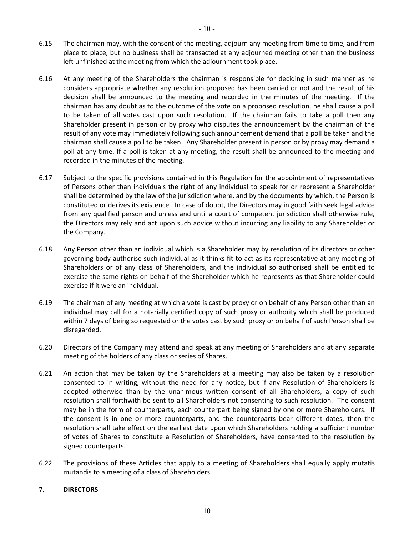- 6.15 The chairman may, with the consent of the meeting, adjourn any meeting from time to time, and from place to place, but no business shall be transacted at any adjourned meeting other than the business left unfinished at the meeting from which the adjournment took place.
- 6.16 At any meeting of the Shareholders the chairman is responsible for deciding in such manner as he considers appropriate whether any resolution proposed has been carried or not and the result of his decision shall be announced to the meeting and recorded in the minutes of the meeting. If the chairman has any doubt as to the outcome of the vote on a proposed resolution, he shall cause a poll to be taken of all votes cast upon such resolution. If the chairman fails to take a poll then any Shareholder present in person or by proxy who disputes the announcement by the chairman of the result of any vote may immediately following such announcement demand that a poll be taken and the chairman shall cause a poll to be taken. Any Shareholder present in person or by proxy may demand a poll at any time. If a poll is taken at any meeting, the result shall be announced to the meeting and recorded in the minutes of the meeting.
- 6.17 Subject to the specific provisions contained in this Regulation for the appointment of representatives of Persons other than individuals the right of any individual to speak for or represent a Shareholder shall be determined by the law of the jurisdiction where, and by the documents by which, the Person is constituted or derives its existence. In case of doubt, the Directors may in good faith seek legal advice from any qualified person and unless and until a court of competent jurisdiction shall otherwise rule, the Directors may rely and act upon such advice without incurring any liability to any Shareholder or the Company.
- 6.18 Any Person other than an individual which is a Shareholder may by resolution of its directors or other governing body authorise such individual as it thinks fit to act as its representative at any meeting of Shareholders or of any class of Shareholders, and the individual so authorised shall be entitled to exercise the same rights on behalf of the Shareholder which he represents as that Shareholder could exercise if it were an individual.
- 6.19 The chairman of any meeting at which a vote is cast by proxy or on behalf of any Person other than an individual may call for a notarially certified copy of such proxy or authority which shall be produced within 7 days of being so requested or the votes cast by such proxy or on behalf of such Person shall be disregarded.
- 6.20 Directors of the Company may attend and speak at any meeting of Shareholders and at any separate meeting of the holders of any class or series of Shares.
- 6.21 An action that may be taken by the Shareholders at a meeting may also be taken by a resolution consented to in writing, without the need for any notice, but if any Resolution of Shareholders is adopted otherwise than by the unanimous written consent of all Shareholders, a copy of such resolution shall forthwith be sent to all Shareholders not consenting to such resolution. The consent may be in the form of counterparts, each counterpart being signed by one or more Shareholders. If the consent is in one or more counterparts, and the counterparts bear different dates, then the resolution shall take effect on the earliest date upon which Shareholders holding a sufficient number of votes of Shares to constitute a Resolution of Shareholders, have consented to the resolution by signed counterparts.
- 6.22 The provisions of these Articles that apply to a meeting of Shareholders shall equally apply mutatis mutandis to a meeting of a class of Shareholders.

# **7. DIRECTORS**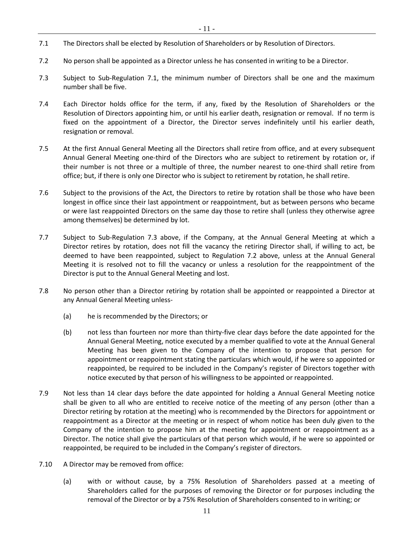- 7.1 The Directors shall be elected by Resolution of Shareholders or by Resolution of Directors.
- 7.2 No person shall be appointed as a Director unless he has consented in writing to be a Director.
- 7.3 Subject to Sub-Regulation 7.1, the minimum number of Directors shall be one and the maximum number shall be five.
- 7.4 Each Director holds office for the term, if any, fixed by the Resolution of Shareholders or the Resolution of Directors appointing him, or until his earlier death, resignation or removal. If no term is fixed on the appointment of a Director, the Director serves indefinitely until his earlier death, resignation or removal.
- 7.5 At the first Annual General Meeting all the Directors shall retire from office, and at every subsequent Annual General Meeting one-third of the Directors who are subject to retirement by rotation or, if their number is not three or a multiple of three, the number nearest to one-third shall retire from office; but, if there is only one Director who is subject to retirement by rotation, he shall retire.
- 7.6 Subject to the provisions of the Act, the Directors to retire by rotation shall be those who have been longest in office since their last appointment or reappointment, but as between persons who became or were last reappointed Directors on the same day those to retire shall (unless they otherwise agree among themselves) be determined by lot.
- 7.7 Subject to Sub-Regulation 7.3 above, if the Company, at the Annual General Meeting at which a Director retires by rotation, does not fill the vacancy the retiring Director shall, if willing to act, be deemed to have been reappointed, subject to Regulation 7.2 above, unless at the Annual General Meeting it is resolved not to fill the vacancy or unless a resolution for the reappointment of the Director is put to the Annual General Meeting and lost.
- 7.8 No person other than a Director retiring by rotation shall be appointed or reappointed a Director at any Annual General Meeting unless-
	- (a) he is recommended by the Directors; or
	- (b) not less than fourteen nor more than thirty-five clear days before the date appointed for the Annual General Meeting, notice executed by a member qualified to vote at the Annual General Meeting has been given to the Company of the intention to propose that person for appointment or reappointment stating the particulars which would, if he were so appointed or reappointed, be required to be included in the Company's register of Directors together with notice executed by that person of his willingness to be appointed or reappointed.
- 7.9 Not less than 14 clear days before the date appointed for holding a Annual General Meeting notice shall be given to all who are entitled to receive notice of the meeting of any person (other than a Director retiring by rotation at the meeting) who is recommended by the Directors for appointment or reappointment as a Director at the meeting or in respect of whom notice has been duly given to the Company of the intention to propose him at the meeting for appointment or reappointment as a Director. The notice shall give the particulars of that person which would, if he were so appointed or reappointed, be required to be included in the Company's register of directors.
- 7.10 A Director may be removed from office:
	- (a) with or without cause, by a 75% Resolution of Shareholders passed at a meeting of Shareholders called for the purposes of removing the Director or for purposes including the removal of the Director or by a 75% Resolution of Shareholders consented to in writing; or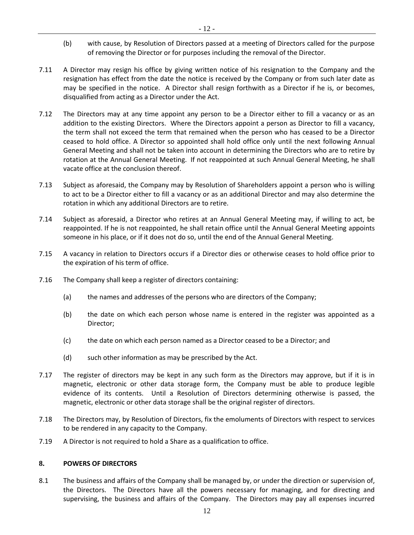- (b) with cause, by Resolution of Directors passed at a meeting of Directors called for the purpose of removing the Director or for purposes including the removal of the Director.
- 7.11 A Director may resign his office by giving written notice of his resignation to the Company and the resignation has effect from the date the notice is received by the Company or from such later date as may be specified in the notice. A Director shall resign forthwith as a Director if he is, or becomes, disqualified from acting as a Director under the Act.
- 7.12 The Directors may at any time appoint any person to be a Director either to fill a vacancy or as an addition to the existing Directors. Where the Directors appoint a person as Director to fill a vacancy, the term shall not exceed the term that remained when the person who has ceased to be a Director ceased to hold office. A Director so appointed shall hold office only until the next following Annual General Meeting and shall not be taken into account in determining the Directors who are to retire by rotation at the Annual General Meeting. If not reappointed at such Annual General Meeting, he shall vacate office at the conclusion thereof.
- 7.13 Subject as aforesaid, the Company may by Resolution of Shareholders appoint a person who is willing to act to be a Director either to fill a vacancy or as an additional Director and may also determine the rotation in which any additional Directors are to retire.
- 7.14 Subject as aforesaid, a Director who retires at an Annual General Meeting may, if willing to act, be reappointed. If he is not reappointed, he shall retain office until the Annual General Meeting appoints someone in his place, or if it does not do so, until the end of the Annual General Meeting.
- 7.15 A vacancy in relation to Directors occurs if a Director dies or otherwise ceases to hold office prior to the expiration of his term of office.
- 7.16 The Company shall keep a register of directors containing:
	- (a) the names and addresses of the persons who are directors of the Company;
	- (b) the date on which each person whose name is entered in the register was appointed as a Director;
	- (c) the date on which each person named as a Director ceased to be a Director; and
	- (d) such other information as may be prescribed by the Act.
- 7.17 The register of directors may be kept in any such form as the Directors may approve, but if it is in magnetic, electronic or other data storage form, the Company must be able to produce legible evidence of its contents. Until a Resolution of Directors determining otherwise is passed, the magnetic, electronic or other data storage shall be the original register of directors.
- 7.18 The Directors may, by Resolution of Directors, fix the emoluments of Directors with respect to services to be rendered in any capacity to the Company.
- 7.19 A Director is not required to hold a Share as a qualification to office.

#### **8. POWERS OF DIRECTORS**

8.1 The business and affairs of the Company shall be managed by, or under the direction or supervision of, the Directors. The Directors have all the powers necessary for managing, and for directing and supervising, the business and affairs of the Company. The Directors may pay all expenses incurred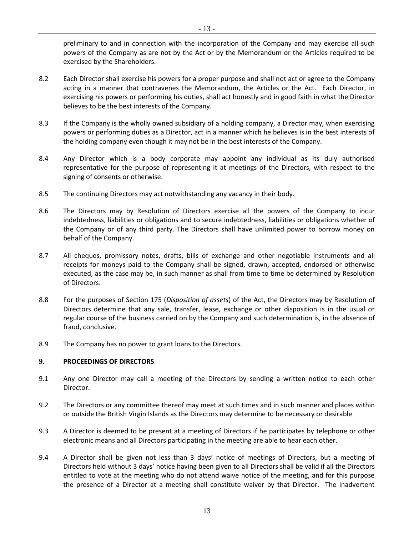preliminary to and in connection with the incorporation of the Company and may exercise all such powers of the Company as are not by the Act or by the Memorandum or the Articles required to be exercised by the Shareholders.

- 8.2 Each Director shall exercise his powers for a proper purpose and shall not act or agree to the Company acting in a manner that contravenes the Memorandum, the Articles or the Act. Each Director, in exercising his powers or performing his duties, shall act honestly and in good faith in what the Director believes to be the best interests of the Company.
- 8.3 If the Company is the wholly owned subsidiary of a holding company, a Director may, when exercising powers or performing duties as a Director, act in a manner which he believes is in the best interests of the holding company even though it may not be in the best interests of the Company.
- 8.4 Any Director which is a body corporate may appoint any individual as its duly authorised representative for the purpose of representing it at meetings of the Directors, with respect to the signing of consents or otherwise.
- 8.5 The continuing Directors may act notwithstanding any vacancy in their body.
- 8.6 The Directors may by Resolution of Directors exercise all the powers of the Company to incur indebtedness, liabilities or obligations and to secure indebtedness, liabilities or obligations whether of the Company or of any third party. The Directors shall have unlimited power to borrow money on behalf of the Company.
- 8.7 All cheques, promissory notes, drafts, bills of exchange and other negotiable instruments and all receipts for moneys paid to the Company shall be signed, drawn, accepted, endorsed or otherwise executed, as the case may be, in such manner as shall from time to time be determined by Resolution of Directors.
- 8.8 For the purposes of Section 175 (*Disposition of assets*) of the Act, the Directors may by Resolution of Directors determine that any sale, transfer, lease, exchange or other disposition is in the usual or regular course of the business carried on by the Company and such determination is, in the absence of fraud, conclusive.
- 8.9 The Company has no power to grant loans to the Directors.

# **9. PROCEEDINGS OF DIRECTORS**

- 9.1 Any one Director may call a meeting of the Directors by sending a written notice to each other Director.
- 9.2 The Directors or any committee thereof may meet at such times and in such manner and places within or outside the British Virgin Islands as the Directors may determine to be necessary or desirable
- 9.3 A Director is deemed to be present at a meeting of Directors if he participates by telephone or other electronic means and all Directors participating in the meeting are able to hear each other.
- 9.4 A Director shall be given not less than 3 days' notice of meetings of Directors, but a meeting of Directors held without 3 days' notice having been given to all Directors shall be valid if all the Directors entitled to vote at the meeting who do not attend waive notice of the meeting, and for this purpose the presence of a Director at a meeting shall constitute waiver by that Director. The inadvertent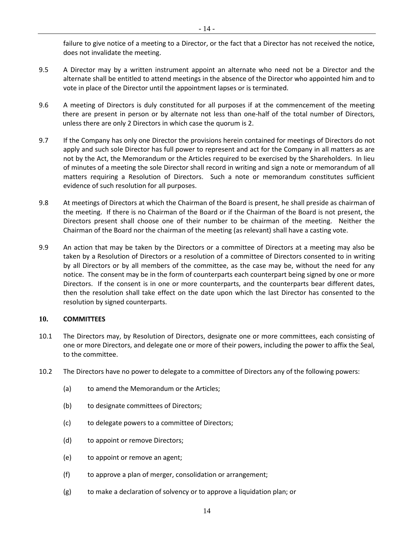failure to give notice of a meeting to a Director, or the fact that a Director has not received the notice, does not invalidate the meeting.

- 9.5 A Director may by a written instrument appoint an alternate who need not be a Director and the alternate shall be entitled to attend meetings in the absence of the Director who appointed him and to vote in place of the Director until the appointment lapses or is terminated.
- 9.6 A meeting of Directors is duly constituted for all purposes if at the commencement of the meeting there are present in person or by alternate not less than one-half of the total number of Directors, unless there are only 2 Directors in which case the quorum is 2.
- 9.7 If the Company has only one Director the provisions herein contained for meetings of Directors do not apply and such sole Director has full power to represent and act for the Company in all matters as are not by the Act, the Memorandum or the Articles required to be exercised by the Shareholders. In lieu of minutes of a meeting the sole Director shall record in writing and sign a note or memorandum of all matters requiring a Resolution of Directors. Such a note or memorandum constitutes sufficient evidence of such resolution for all purposes.
- 9.8 At meetings of Directors at which the Chairman of the Board is present, he shall preside as chairman of the meeting. If there is no Chairman of the Board or if the Chairman of the Board is not present, the Directors present shall choose one of their number to be chairman of the meeting. Neither the Chairman of the Board nor the chairman of the meeting (as relevant) shall have a casting vote.
- 9.9 An action that may be taken by the Directors or a committee of Directors at a meeting may also be taken by a Resolution of Directors or a resolution of a committee of Directors consented to in writing by all Directors or by all members of the committee, as the case may be, without the need for any notice. The consent may be in the form of counterparts each counterpart being signed by one or more Directors. If the consent is in one or more counterparts, and the counterparts bear different dates, then the resolution shall take effect on the date upon which the last Director has consented to the resolution by signed counterparts.

# **10. COMMITTEES**

- 10.1 The Directors may, by Resolution of Directors, designate one or more committees, each consisting of one or more Directors, and delegate one or more of their powers, including the power to affix the Seal, to the committee.
- <span id="page-20-1"></span><span id="page-20-0"></span>10.2 The Directors have no power to delegate to a committee of Directors any of the following powers:
	- (a) to amend the Memorandum or the Articles;
	- (b) to designate committees of Directors;
	- (c) to delegate powers to a committee of Directors;
	- (d) to appoint or remove Directors;
	- (e) to appoint or remove an agent;
	- (f) to approve a plan of merger, consolidation or arrangement;
	- (g) to make a declaration of solvency or to approve a liquidation plan; or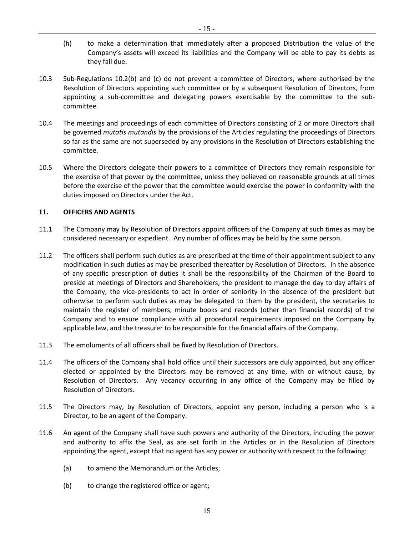- (h) to make a determination that immediately after a proposed Distribution the value of the Company's assets will exceed its liabilities and the Company will be able to pay its debts as they fall due.
- 10.3 Sub-Regulations [10.2\(b\)](#page-20-0) and [\(c\)](#page-20-1) do not prevent a committee of Directors, where authorised by the Resolution of Directors appointing such committee or by a subsequent Resolution of Directors, from appointing a sub-committee and delegating powers exercisable by the committee to the subcommittee.
- 10.4 The meetings and proceedings of each committee of Directors consisting of 2 or more Directors shall be governed *mutatis mutandis* by the provisions of the Articles regulating the proceedings of Directors so far as the same are not superseded by any provisions in the Resolution of Directors establishing the committee.
- 10.5 Where the Directors delegate their powers to a committee of Directors they remain responsible for the exercise of that power by the committee, unless they believed on reasonable grounds at all times before the exercise of the power that the committee would exercise the power in conformity with the duties imposed on Directors under the Act.

# **11. OFFICERS AND AGENTS**

- 11.1 The Company may by Resolution of Directors appoint officers of the Company at such times as may be considered necessary or expedient. Any number of offices may be held by the same person.
- 11.2 The officers shall perform such duties as are prescribed at the time of their appointment subject to any modification in such duties as may be prescribed thereafter by Resolution of Directors. In the absence of any specific prescription of duties it shall be the responsibility of the Chairman of the Board to preside at meetings of Directors and Shareholders, the president to manage the day to day affairs of the Company, the vice-presidents to act in order of seniority in the absence of the president but otherwise to perform such duties as may be delegated to them by the president, the secretaries to maintain the register of members, minute books and records (other than financial records) of the Company and to ensure compliance with all procedural requirements imposed on the Company by applicable law, and the treasurer to be responsible for the financial affairs of the Company.
- 11.3 The emoluments of all officers shall be fixed by Resolution of Directors.
- 11.4 The officers of the Company shall hold office until their successors are duly appointed, but any officer elected or appointed by the Directors may be removed at any time, with or without cause, by Resolution of Directors. Any vacancy occurring in any office of the Company may be filled by Resolution of Directors.
- 11.5 The Directors may, by Resolution of Directors, appoint any person, including a person who is a Director, to be an agent of the Company.
- 11.6 An agent of the Company shall have such powers and authority of the Directors, including the power and authority to affix the Seal, as are set forth in the Articles or in the Resolution of Directors appointing the agent, except that no agent has any power or authority with respect to the following:
	- (a) to amend the Memorandum or the Articles;
	- (b) to change the registered office or agent;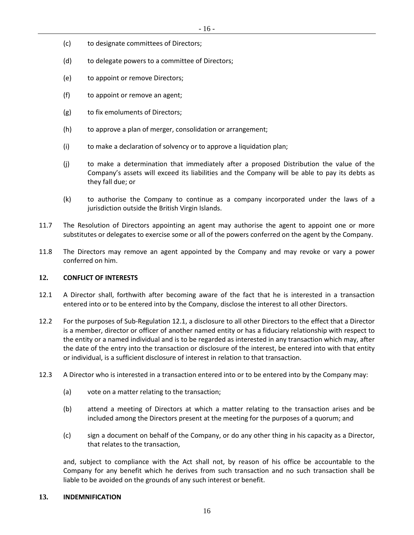- (c) to designate committees of Directors;
- (d) to delegate powers to a committee of Directors;
- (e) to appoint or remove Directors;
- (f) to appoint or remove an agent;
- (g) to fix emoluments of Directors;
- (h) to approve a plan of merger, consolidation or arrangement;
- (i) to make a declaration of solvency or to approve a liquidation plan;
- (j) to make a determination that immediately after a proposed Distribution the value of the Company's assets will exceed its liabilities and the Company will be able to pay its debts as they fall due; or
- (k) to authorise the Company to continue as a company incorporated under the laws of a jurisdiction outside the British Virgin Islands.
- 11.7 The Resolution of Directors appointing an agent may authorise the agent to appoint one or more substitutes or delegates to exercise some or all of the powers conferred on the agent by the Company.
- 11.8 The Directors may remove an agent appointed by the Company and may revoke or vary a power conferred on him.

#### **12. CONFLICT OF INTERESTS**

- 12.1 A Director shall, forthwith after becoming aware of the fact that he is interested in a transaction entered into or to be entered into by the Company, disclose the interest to all other Directors.
- 12.2 For the purposes of Sub-Regulation 12.1, a disclosure to all other Directors to the effect that a Director is a member, director or officer of another named entity or has a fiduciary relationship with respect to the entity or a named individual and is to be regarded as interested in any transaction which may, after the date of the entry into the transaction or disclosure of the interest, be entered into with that entity or individual, is a sufficient disclosure of interest in relation to that transaction.
- 12.3 A Director who is interested in a transaction entered into or to be entered into by the Company may:
	- (a) vote on a matter relating to the transaction;
	- (b) attend a meeting of Directors at which a matter relating to the transaction arises and be included among the Directors present at the meeting for the purposes of a quorum; and
	- (c) sign a document on behalf of the Company, or do any other thing in his capacity as a Director, that relates to the transaction,

and, subject to compliance with the Act shall not, by reason of his office be accountable to the Company for any benefit which he derives from such transaction and no such transaction shall be liable to be avoided on the grounds of any such interest or benefit.

#### **13. INDEMNIFICATION**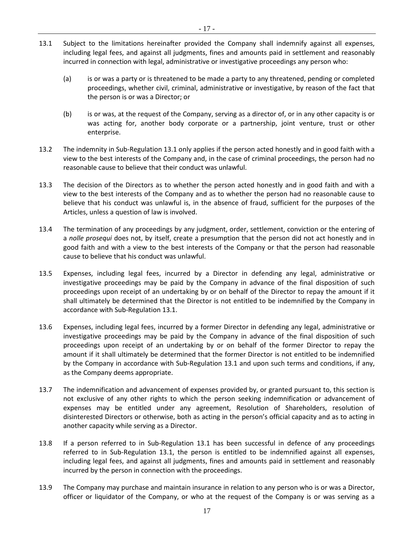- 13.1 Subject to the limitations hereinafter provided the Company shall indemnify against all expenses, including legal fees, and against all judgments, fines and amounts paid in settlement and reasonably incurred in connection with legal, administrative or investigative proceedings any person who:
	- (a) is or was a party or is threatened to be made a party to any threatened, pending or completed proceedings, whether civil, criminal, administrative or investigative, by reason of the fact that the person is or was a Director; or
	- (b) is or was, at the request of the Company, serving as a director of, or in any other capacity is or was acting for, another body corporate or a partnership, joint venture, trust or other enterprise.
- 13.2 The indemnity in Sub-Regulation 13.1 only applies if the person acted honestly and in good faith with a view to the best interests of the Company and, in the case of criminal proceedings, the person had no reasonable cause to believe that their conduct was unlawful.
- 13.3 The decision of the Directors as to whether the person acted honestly and in good faith and with a view to the best interests of the Company and as to whether the person had no reasonable cause to believe that his conduct was unlawful is, in the absence of fraud, sufficient for the purposes of the Articles, unless a question of law is involved.
- 13.4 The termination of any proceedings by any judgment, order, settlement, conviction or the entering of a *nolle prosequi* does not, by itself, create a presumption that the person did not act honestly and in good faith and with a view to the best interests of the Company or that the person had reasonable cause to believe that his conduct was unlawful.
- 13.5 Expenses, including legal fees, incurred by a Director in defending any legal, administrative or investigative proceedings may be paid by the Company in advance of the final disposition of such proceedings upon receipt of an undertaking by or on behalf of the Director to repay the amount if it shall ultimately be determined that the Director is not entitled to be indemnified by the Company in accordance with Sub-Regulation 13.1.
- 13.6 Expenses, including legal fees, incurred by a former Director in defending any legal, administrative or investigative proceedings may be paid by the Company in advance of the final disposition of such proceedings upon receipt of an undertaking by or on behalf of the former Director to repay the amount if it shall ultimately be determined that the former Director is not entitled to be indemnified by the Company in accordance with Sub-Regulation 13.1 and upon such terms and conditions, if any, as the Company deems appropriate.
- 13.7 The indemnification and advancement of expenses provided by, or granted pursuant to, this section is not exclusive of any other rights to which the person seeking indemnification or advancement of expenses may be entitled under any agreement, Resolution of Shareholders, resolution of disinterested Directors or otherwise, both as acting in the person's official capacity and as to acting in another capacity while serving as a Director.
- 13.8 If a person referred to in Sub-Regulation 13.1 has been successful in defence of any proceedings referred to in Sub-Regulation 13.1, the person is entitled to be indemnified against all expenses, including legal fees, and against all judgments, fines and amounts paid in settlement and reasonably incurred by the person in connection with the proceedings.
- 13.9 The Company may purchase and maintain insurance in relation to any person who is or was a Director, officer or liquidator of the Company, or who at the request of the Company is or was serving as a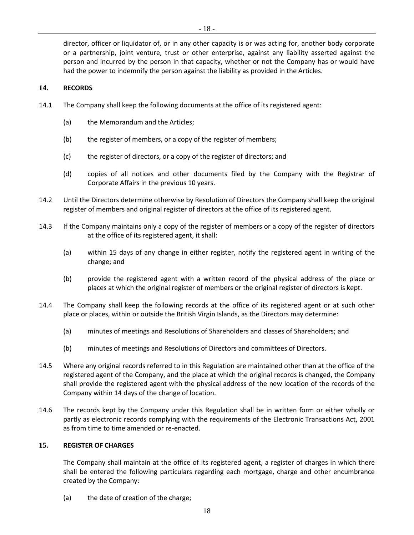director, officer or liquidator of, or in any other capacity is or was acting for, another body corporate or a partnership, joint venture, trust or other enterprise, against any liability asserted against the person and incurred by the person in that capacity, whether or not the Company has or would have had the power to indemnify the person against the liability as provided in the Articles.

# **14. RECORDS**

- 14.1 The Company shall keep the following documents at the office of its registered agent:
	- (a) the Memorandum and the Articles;
	- (b) the register of members, or a copy of the register of members;
	- (c) the register of directors, or a copy of the register of directors; and
	- (d) copies of all notices and other documents filed by the Company with the Registrar of Corporate Affairs in the previous 10 years.
- 14.2 Until the Directors determine otherwise by Resolution of Directors the Company shall keep the original register of members and original register of directors at the office of its registered agent.
- 14.3 If the Company maintains only a copy of the register of members or a copy of the register of directors at the office of its registered agent, it shall:
	- (a) within 15 days of any change in either register, notify the registered agent in writing of the change; and
	- (b) provide the registered agent with a written record of the physical address of the place or places at which the original register of members or the original register of directors is kept.
- 14.4 The Company shall keep the following records at the office of its registered agent or at such other place or places, within or outside the British Virgin Islands, as the Directors may determine:
	- (a) minutes of meetings and Resolutions of Shareholders and classes of Shareholders; and
	- (b) minutes of meetings and Resolutions of Directors and committees of Directors.
- 14.5 Where any original records referred to in this Regulation are maintained other than at the office of the registered agent of the Company, and the place at which the original records is changed, the Company shall provide the registered agent with the physical address of the new location of the records of the Company within 14 days of the change of location.
- 14.6 The records kept by the Company under this Regulation shall be in written form or either wholly or partly as electronic records complying with the requirements of the Electronic Transactions Act, 2001 as from time to time amended or re-enacted.

# **15. REGISTER OF CHARGES**

The Company shall maintain at the office of its registered agent, a register of charges in which there shall be entered the following particulars regarding each mortgage, charge and other encumbrance created by the Company:

(a) the date of creation of the charge;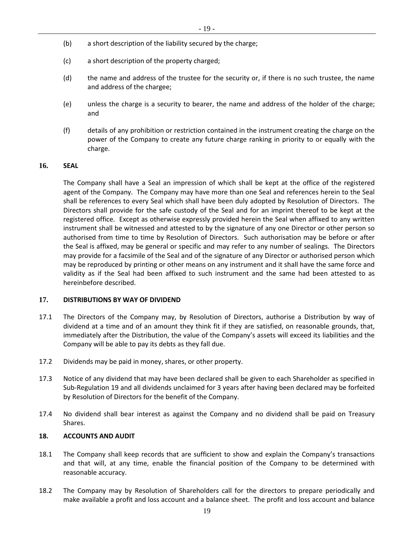- (b) a short description of the liability secured by the charge;
- (c) a short description of the property charged;
- (d) the name and address of the trustee for the security or, if there is no such trustee, the name and address of the chargee;
- (e) unless the charge is a security to bearer, the name and address of the holder of the charge; and
- (f) details of any prohibition or restriction contained in the instrument creating the charge on the power of the Company to create any future charge ranking in priority to or equally with the charge.

#### **16. SEAL**

The Company shall have a Seal an impression of which shall be kept at the office of the registered agent of the Company. The Company may have more than one Seal and references herein to the Seal shall be references to every Seal which shall have been duly adopted by Resolution of Directors. The Directors shall provide for the safe custody of the Seal and for an imprint thereof to be kept at the registered office. Except as otherwise expressly provided herein the Seal when affixed to any written instrument shall be witnessed and attested to by the signature of any one Director or other person so authorised from time to time by Resolution of Directors. Such authorisation may be before or after the Seal is affixed, may be general or specific and may refer to any number of sealings. The Directors may provide for a facsimile of the Seal and of the signature of any Director or authorised person which may be reproduced by printing or other means on any instrument and it shall have the same force and validity as if the Seal had been affixed to such instrument and the same had been attested to as hereinbefore described.

# **17. DISTRIBUTIONS BY WAY OF DIVIDEND**

- 17.1 The Directors of the Company may, by Resolution of Directors, authorise a Distribution by way of dividend at a time and of an amount they think fit if they are satisfied, on reasonable grounds, that, immediately after the Distribution, the value of the Company's assets will exceed its liabilities and the Company will be able to pay its debts as they fall due.
- 17.2 Dividends may be paid in money, shares, or other property.
- 17.3 Notice of any dividend that may have been declared shall be given to each Shareholder as specified in Sub-Regulation 19 and all dividends unclaimed for 3 years after having been declared may be forfeited by Resolution of Directors for the benefit of the Company.
- 17.4 No dividend shall bear interest as against the Company and no dividend shall be paid on Treasury Shares.

#### **18. ACCOUNTS AND AUDIT**

- 18.1 The Company shall keep records that are sufficient to show and explain the Company's transactions and that will, at any time, enable the financial position of the Company to be determined with reasonable accuracy.
- 18.2 The Company may by Resolution of Shareholders call for the directors to prepare periodically and make available a profit and loss account and a balance sheet. The profit and loss account and balance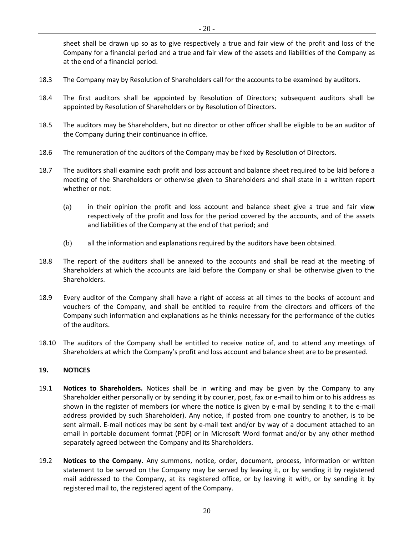sheet shall be drawn up so as to give respectively a true and fair view of the profit and loss of the Company for a financial period and a true and fair view of the assets and liabilities of the Company as at the end of a financial period.

- 18.3 The Company may by Resolution of Shareholders call for the accounts to be examined by auditors.
- 18.4 The first auditors shall be appointed by Resolution of Directors; subsequent auditors shall be appointed by Resolution of Shareholders or by Resolution of Directors.
- 18.5 The auditors may be Shareholders, but no director or other officer shall be eligible to be an auditor of the Company during their continuance in office.
- 18.6 The remuneration of the auditors of the Company may be fixed by Resolution of Directors.
- 18.7 The auditors shall examine each profit and loss account and balance sheet required to be laid before a meeting of the Shareholders or otherwise given to Shareholders and shall state in a written report whether or not:
	- (a) in their opinion the profit and loss account and balance sheet give a true and fair view respectively of the profit and loss for the period covered by the accounts, and of the assets and liabilities of the Company at the end of that period; and
	- (b) all the information and explanations required by the auditors have been obtained.
- 18.8 The report of the auditors shall be annexed to the accounts and shall be read at the meeting of Shareholders at which the accounts are laid before the Company or shall be otherwise given to the Shareholders.
- 18.9 Every auditor of the Company shall have a right of access at all times to the books of account and vouchers of the Company, and shall be entitled to require from the directors and officers of the Company such information and explanations as he thinks necessary for the performance of the duties of the auditors.
- 18.10 The auditors of the Company shall be entitled to receive notice of, and to attend any meetings of Shareholders at which the Company's profit and loss account and balance sheet are to be presented.

# **19. NOTICES**

- 19.1 **Notices to Shareholders.** Notices shall be in writing and may be given by the Company to any Shareholder either personally or by sending it by courier, post, fax or e-mail to him or to his address as shown in the register of members (or where the notice is given by e-mail by sending it to the e-mail address provided by such Shareholder). Any notice, if posted from one country to another, is to be sent airmail. E-mail notices may be sent by e-mail text and/or by way of a document attached to an email in portable document format (PDF) or in Microsoft Word format and/or by any other method separately agreed between the Company and its Shareholders.
- 19.2 **Notices to the Company.** Any summons, notice, order, document, process, information or written statement to be served on the Company may be served by leaving it, or by sending it by registered mail addressed to the Company, at its registered office, or by leaving it with, or by sending it by registered mail to, the registered agent of the Company.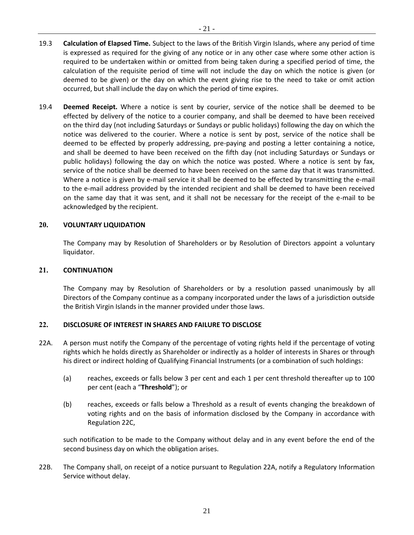- 19.3 **Calculation of Elapsed Time.** Subject to the laws of the British Virgin Islands, where any period of time is expressed as required for the giving of any notice or in any other case where some other action is required to be undertaken within or omitted from being taken during a specified period of time, the calculation of the requisite period of time will not include the day on which the notice is given (or deemed to be given) or the day on which the event giving rise to the need to take or omit action occurred, but shall include the day on which the period of time expires.
- 19.4 **Deemed Receipt.** Where a notice is sent by courier, service of the notice shall be deemed to be effected by delivery of the notice to a courier company, and shall be deemed to have been received on the third day (not including Saturdays or Sundays or public holidays) following the day on which the notice was delivered to the courier. Where a notice is sent by post, service of the notice shall be deemed to be effected by properly addressing, pre-paying and posting a letter containing a notice, and shall be deemed to have been received on the fifth day (not including Saturdays or Sundays or public holidays) following the day on which the notice was posted. Where a notice is sent by fax, service of the notice shall be deemed to have been received on the same day that it was transmitted. Where a notice is given by e-mail service it shall be deemed to be effected by transmitting the e-mail to the e-mail address provided by the intended recipient and shall be deemed to have been received on the same day that it was sent, and it shall not be necessary for the receipt of the e-mail to be acknowledged by the recipient.

#### **20. VOLUNTARY LIQUIDATION**

The Company may by Resolution of Shareholders or by Resolution of Directors appoint a voluntary liquidator.

#### **21. CONTINUATION**

The Company may by Resolution of Shareholders or by a resolution passed unanimously by all Directors of the Company continue as a company incorporated under the laws of a jurisdiction outside the British Virgin Islands in the manner provided under those laws.

#### **22. DISCLOSURE OF INTEREST IN SHARES AND FAILURE TO DISCLOSE**

- 22A. A person must notify the Company of the percentage of voting rights held if the percentage of voting rights which he holds directly as Shareholder or indirectly as a holder of interests in Shares or through his direct or indirect holding of Qualifying Financial Instruments (or a combination of such holdings:
	- (a) reaches, exceeds or falls below 3 per cent and each 1 per cent threshold thereafter up to 100 per cent (each a "**Threshold**"); or
	- (b) reaches, exceeds or falls below a Threshold as a result of events changing the breakdown of voting rights and on the basis of information disclosed by the Company in accordance with Regulation 22C,

such notification to be made to the Company without delay and in any event before the end of the second business day on which the obligation arises.

22B. The Company shall, on receipt of a notice pursuant to Regulation 22A, notify a Regulatory Information Service without delay.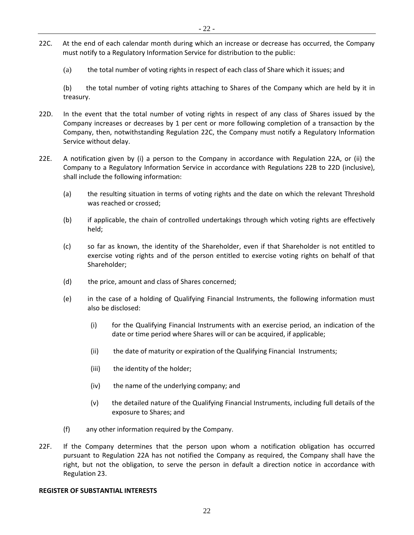- 22C. At the end of each calendar month during which an increase or decrease has occurred, the Company must notify to a Regulatory Information Service for distribution to the public:
	- (a) the total number of voting rights in respect of each class of Share which it issues; and

(b) the total number of voting rights attaching to Shares of the Company which are held by it in treasury.

- 22D. In the event that the total number of voting rights in respect of any class of Shares issued by the Company increases or decreases by 1 per cent or more following completion of a transaction by the Company, then, notwithstanding Regulation 22C, the Company must notify a Regulatory Information Service without delay.
- 22E. A notification given by (i) a person to the Company in accordance with Regulation 22A, or (ii) the Company to a Regulatory Information Service in accordance with Regulations 22B to 22D (inclusive), shall include the following information:
	- (a) the resulting situation in terms of voting rights and the date on which the relevant Threshold was reached or crossed;
	- (b) if applicable, the chain of controlled undertakings through which voting rights are effectively held;
	- (c) so far as known, the identity of the Shareholder, even if that Shareholder is not entitled to exercise voting rights and of the person entitled to exercise voting rights on behalf of that Shareholder;
	- (d) the price, amount and class of Shares concerned;
	- (e) in the case of a holding of Qualifying Financial Instruments, the following information must also be disclosed:
		- (i) for the Qualifying Financial Instruments with an exercise period, an indication of the date or time period where Shares will or can be acquired, if applicable;
		- (ii) the date of maturity or expiration of the Qualifying Financial Instruments;
		- (iii) the identity of the holder;
		- (iv) the name of the underlying company; and
		- (v) the detailed nature of the Qualifying Financial Instruments, including full details of the exposure to Shares; and
	- (f) any other information required by the Company.
- 22F. If the Company determines that the person upon whom a notification obligation has occurred pursuant to Regulation 22A has not notified the Company as required, the Company shall have the right, but not the obligation, to serve the person in default a direction notice in accordance with Regulation 23.

#### **REGISTER OF SUBSTANTIAL INTERESTS**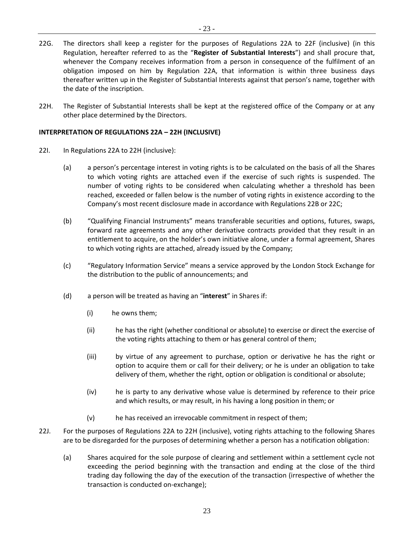- 22G. The directors shall keep a register for the purposes of Regulations 22A to 22F (inclusive) (in this Regulation, hereafter referred to as the "**Register of Substantial Interests**") and shall procure that, whenever the Company receives information from a person in consequence of the fulfilment of an obligation imposed on him by Regulation 22A, that information is within three business days thereafter written up in the Register of Substantial Interests against that person's name, together with the date of the inscription.
- 22H. The Register of Substantial Interests shall be kept at the registered office of the Company or at any other place determined by the Directors.

# **INTERPRETATION OF REGULATIONS 22A – 22H (INCLUSIVE)**

- 22I. In Regulations 22A to 22H (inclusive):
	- (a) a person's percentage interest in voting rights is to be calculated on the basis of all the Shares to which voting rights are attached even if the exercise of such rights is suspended. The number of voting rights to be considered when calculating whether a threshold has been reached, exceeded or fallen below is the number of voting rights in existence according to the Company's most recent disclosure made in accordance with Regulations 22B or 22C;
	- (b) "Qualifying Financial Instruments" means transferable securities and options, futures, swaps, forward rate agreements and any other derivative contracts provided that they result in an entitlement to acquire, on the holder's own initiative alone, under a formal agreement, Shares to which voting rights are attached, already issued by the Company;
	- (c) "Regulatory Information Service" means a service approved by the London Stock Exchange for the distribution to the public of announcements; and
	- (d) a person will be treated as having an "**interest**" in Shares if:
		- (i) he owns them;
		- (ii) he has the right (whether conditional or absolute) to exercise or direct the exercise of the voting rights attaching to them or has general control of them;
		- (iii) by virtue of any agreement to purchase, option or derivative he has the right or option to acquire them or call for their delivery; or he is under an obligation to take delivery of them, whether the right, option or obligation is conditional or absolute;
		- (iv) he is party to any derivative whose value is determined by reference to their price and which results, or may result, in his having a long position in them; or
		- (v) he has received an irrevocable commitment in respect of them;
- 22J. For the purposes of Regulations 22A to 22H (inclusive), voting rights attaching to the following Shares are to be disregarded for the purposes of determining whether a person has a notification obligation:
	- (a) Shares acquired for the sole purpose of clearing and settlement within a settlement cycle not exceeding the period beginning with the transaction and ending at the close of the third trading day following the day of the execution of the transaction (irrespective of whether the transaction is conducted on-exchange);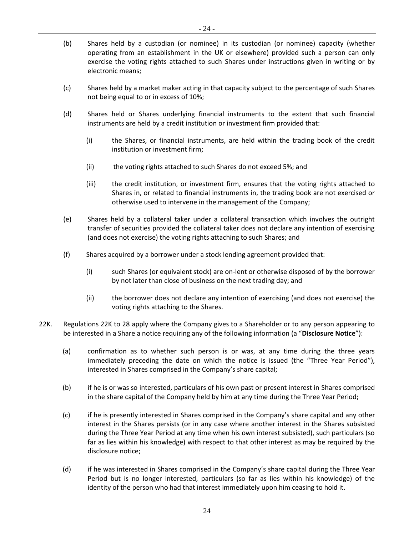- (b) Shares held by a custodian (or nominee) in its custodian (or nominee) capacity (whether operating from an establishment in the UK or elsewhere) provided such a person can only exercise the voting rights attached to such Shares under instructions given in writing or by electronic means;
- (c) Shares held by a market maker acting in that capacity subject to the percentage of such Shares not being equal to or in excess of 10%;
- (d) Shares held or Shares underlying financial instruments to the extent that such financial instruments are held by a credit institution or investment firm provided that:
	- (i) the Shares, or financial instruments, are held within the trading book of the credit institution or investment firm;
	- (ii) the voting rights attached to such Shares do not exceed 5%; and
	- (iii) the credit institution, or investment firm, ensures that the voting rights attached to Shares in, or related to financial instruments in, the trading book are not exercised or otherwise used to intervene in the management of the Company;
- (e) Shares held by a collateral taker under a collateral transaction which involves the outright transfer of securities provided the collateral taker does not declare any intention of exercising (and does not exercise) the voting rights attaching to such Shares; and
- (f) Shares acquired by a borrower under a stock lending agreement provided that:
	- (i) such Shares (or equivalent stock) are on-lent or otherwise disposed of by the borrower by not later than close of business on the next trading day; and
	- (ii) the borrower does not declare any intention of exercising (and does not exercise) the voting rights attaching to the Shares.
- 22K. Regulations 22K to 28 apply where the Company gives to a Shareholder or to any person appearing to be interested in a Share a notice requiring any of the following information (a "**Disclosure Notice**"):
	- (a) confirmation as to whether such person is or was, at any time during the three years immediately preceding the date on which the notice is issued (the "Three Year Period"), interested in Shares comprised in the Company's share capital;
	- (b) if he is or was so interested, particulars of his own past or present interest in Shares comprised in the share capital of the Company held by him at any time during the Three Year Period;
	- (c) if he is presently interested in Shares comprised in the Company's share capital and any other interest in the Shares persists (or in any case where another interest in the Shares subsisted during the Three Year Period at any time when his own interest subsisted), such particulars (so far as lies within his knowledge) with respect to that other interest as may be required by the disclosure notice;
	- (d) if he was interested in Shares comprised in the Company's share capital during the Three Year Period but is no longer interested, particulars (so far as lies within his knowledge) of the identity of the person who had that interest immediately upon him ceasing to hold it.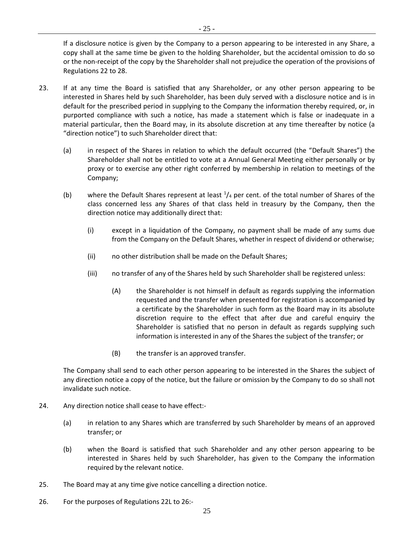If a disclosure notice is given by the Company to a person appearing to be interested in any Share, a copy shall at the same time be given to the holding Shareholder, but the accidental omission to do so or the non-receipt of the copy by the Shareholder shall not prejudice the operation of the provisions of Regulations 22 to 28.

- 23. If at any time the Board is satisfied that any Shareholder, or any other person appearing to be interested in Shares held by such Shareholder, has been duly served with a disclosure notice and is in default for the prescribed period in supplying to the Company the information thereby required, or, in purported compliance with such a notice, has made a statement which is false or inadequate in a material particular, then the Board may, in its absolute discretion at any time thereafter by notice (a "direction notice") to such Shareholder direct that:
	- (a) in respect of the Shares in relation to which the default occurred (the "Default Shares") the Shareholder shall not be entitled to vote at a Annual General Meeting either personally or by proxy or to exercise any other right conferred by membership in relation to meetings of the Company;
	- (b) where the Default Shares represent at least  $\frac{1}{4}$  per cent. of the total number of Shares of the class concerned less any Shares of that class held in treasury by the Company, then the direction notice may additionally direct that:
		- (i) except in a liquidation of the Company, no payment shall be made of any sums due from the Company on the Default Shares, whether in respect of dividend or otherwise;
		- (ii) no other distribution shall be made on the Default Shares;
		- (iii) no transfer of any of the Shares held by such Shareholder shall be registered unless:
			- (A) the Shareholder is not himself in default as regards supplying the information requested and the transfer when presented for registration is accompanied by a certificate by the Shareholder in such form as the Board may in its absolute discretion require to the effect that after due and careful enquiry the Shareholder is satisfied that no person in default as regards supplying such information is interested in any of the Shares the subject of the transfer; or
			- (B) the transfer is an approved transfer.

The Company shall send to each other person appearing to be interested in the Shares the subject of any direction notice a copy of the notice, but the failure or omission by the Company to do so shall not invalidate such notice.

- 24. Any direction notice shall cease to have effect:-
	- (a) in relation to any Shares which are transferred by such Shareholder by means of an approved transfer; or
	- (b) when the Board is satisfied that such Shareholder and any other person appearing to be interested in Shares held by such Shareholder, has given to the Company the information required by the relevant notice.
- 25. The Board may at any time give notice cancelling a direction notice.
- 26. For the purposes of Regulations 22L to 26:-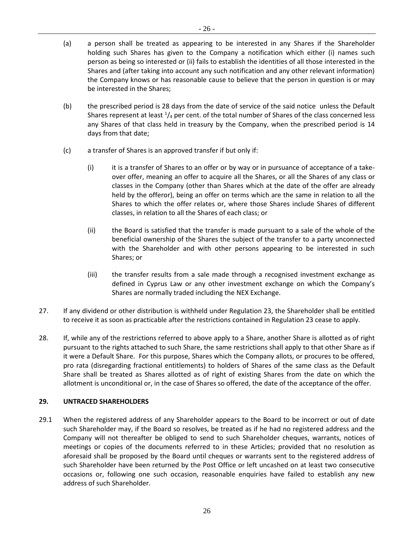- (a) a person shall be treated as appearing to be interested in any Shares if the Shareholder holding such Shares has given to the Company a notification which either (i) names such person as being so interested or (ii) fails to establish the identities of all those interested in the Shares and (after taking into account any such notification and any other relevant information) the Company knows or has reasonable cause to believe that the person in question is or may be interested in the Shares;
- (b) the prescribed period is 28 days from the date of service of the said notice unless the Default Shares represent at least  $\frac{1}{4}$  per cent. of the total number of Shares of the class concerned less any Shares of that class held in treasury by the Company, when the prescribed period is 14 days from that date;
- (c) a transfer of Shares is an approved transfer if but only if:
	- (i) it is a transfer of Shares to an offer or by way or in pursuance of acceptance of a takeover offer, meaning an offer to acquire all the Shares, or all the Shares of any class or classes in the Company (other than Shares which at the date of the offer are already held by the offeror), being an offer on terms which are the same in relation to all the Shares to which the offer relates or, where those Shares include Shares of different classes, in relation to all the Shares of each class; or
	- (ii) the Board is satisfied that the transfer is made pursuant to a sale of the whole of the beneficial ownership of the Shares the subject of the transfer to a party unconnected with the Shareholder and with other persons appearing to be interested in such Shares; or
	- (iii) the transfer results from a sale made through a recognised investment exchange as defined in Cyprus Law or any other investment exchange on which the Company's Shares are normally traded including the NEX Exchange.
- 27. If any dividend or other distribution is withheld under Regulation 23, the Shareholder shall be entitled to receive it as soon as practicable after the restrictions contained in Regulation 23 cease to apply.
- 28. If, while any of the restrictions referred to above apply to a Share, another Share is allotted as of right pursuant to the rights attached to such Share, the same restrictions shall apply to that other Share as if it were a Default Share. For this purpose, Shares which the Company allots, or procures to be offered, pro rata (disregarding fractional entitlements) to holders of Shares of the same class as the Default Share shall be treated as Shares allotted as of right of existing Shares from the date on which the allotment is unconditional or, in the case of Shares so offered, the date of the acceptance of the offer.

# **29. UNTRACED SHAREHOLDERS**

29.1 When the registered address of any Shareholder appears to the Board to be incorrect or out of date such Shareholder may, if the Board so resolves, be treated as if he had no registered address and the Company will not thereafter be obliged to send to such Shareholder cheques, warrants, notices of meetings or copies of the documents referred to in these Articles; provided that no resolution as aforesaid shall be proposed by the Board until cheques or warrants sent to the registered address of such Shareholder have been returned by the Post Office or left uncashed on at least two consecutive occasions or, following one such occasion, reasonable enquiries have failed to establish any new address of such Shareholder.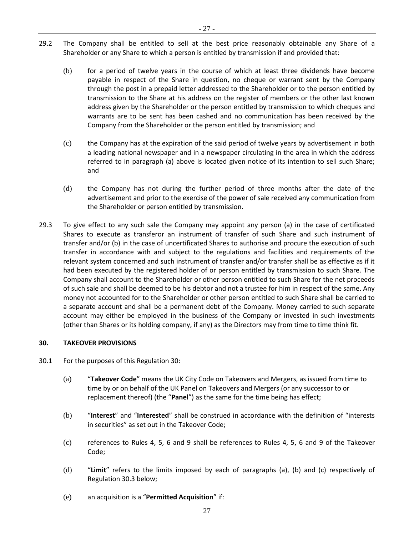- 29.2 The Company shall be entitled to sell at the best price reasonably obtainable any Share of a Shareholder or any Share to which a person is entitled by transmission if and provided that:
	- (b) for a period of twelve years in the course of which at least three dividends have become payable in respect of the Share in question, no cheque or warrant sent by the Company through the post in a prepaid letter addressed to the Shareholder or to the person entitled by transmission to the Share at his address on the register of members or the other last known address given by the Shareholder or the person entitled by transmission to which cheques and warrants are to be sent has been cashed and no communication has been received by the Company from the Shareholder or the person entitled by transmission; and
	- (c) the Company has at the expiration of the said period of twelve years by advertisement in both a leading national newspaper and in a newspaper circulating in the area in which the address referred to in paragraph (a) above is located given notice of its intention to sell such Share; and
	- (d) the Company has not during the further period of three months after the date of the advertisement and prior to the exercise of the power of sale received any communication from the Shareholder or person entitled by transmission.
- 29.3 To give effect to any such sale the Company may appoint any person (a) in the case of certificated Shares to execute as transferor an instrument of transfer of such Share and such instrument of transfer and/or (b) in the case of uncertificated Shares to authorise and procure the execution of such transfer in accordance with and subject to the regulations and facilities and requirements of the relevant system concerned and such instrument of transfer and/or transfer shall be as effective as if it had been executed by the registered holder of or person entitled by transmission to such Share. The Company shall account to the Shareholder or other person entitled to such Share for the net proceeds of such sale and shall be deemed to be his debtor and not a trustee for him in respect of the same. Any money not accounted for to the Shareholder or other person entitled to such Share shall be carried to a separate account and shall be a permanent debt of the Company. Money carried to such separate account may either be employed in the business of the Company or invested in such investments (other than Shares or its holding company, if any) as the Directors may from time to time think fit.

# **30. TAKEOVER PROVISIONS**

- 30.1 For the purposes of this Regulation 30:
	- (a) "**Takeover Code**" means the UK City Code on Takeovers and Mergers, as issued from time to time by or on behalf of the UK Panel on Takeovers and Mergers (or any successor to or replacement thereof) (the "**Panel**") as the same for the time being has effect;
	- (b) "**Interest**" and "**Interested**" shall be construed in accordance with the definition of "interests in securities" as set out in the Takeover Code;
	- (c) references to Rules 4, 5, 6 and 9 shall be references to Rules 4, 5, 6 and 9 of the Takeover Code;
	- (d) "**Limit**" refers to the limits imposed by each of paragraphs (a), (b) and (c) respectively of Regulation 30.3 below;
	- (e) an acquisition is a "**Permitted Acquisition**" if: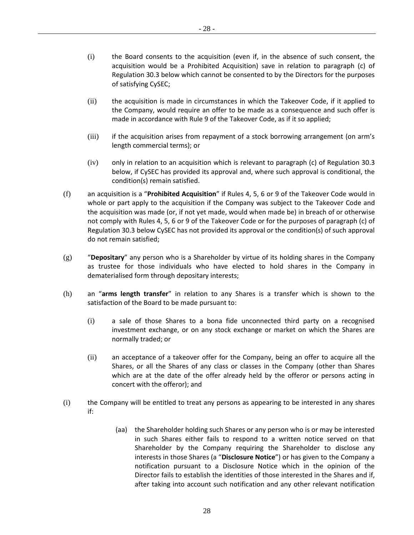- (i) the Board consents to the acquisition (even if, in the absence of such consent, the acquisition would be a Prohibited Acquisition) save in relation to paragraph (c) of Regulation 30.3 below which cannot be consented to by the Directors for the purposes of satisfying CySEC;
- (ii) the acquisition is made in circumstances in which the Takeover Code, if it applied to the Company, would require an offer to be made as a consequence and such offer is made in accordance with Rule 9 of the Takeover Code, as if it so applied;
- (iii) if the acquisition arises from repayment of a stock borrowing arrangement (on arm's length commercial terms); or
- (iv) only in relation to an acquisition which is relevant to paragraph (c) of Regulation 30.3 below, if CySEC has provided its approval and, where such approval is conditional, the condition(s) remain satisfied.
- (f) an acquisition is a "**Prohibited Acquisition**" if Rules 4, 5, 6 or 9 of the Takeover Code would in whole or part apply to the acquisition if the Company was subject to the Takeover Code and the acquisition was made (or, if not yet made, would when made be) in breach of or otherwise not comply with Rules 4, 5, 6 or 9 of the Takeover Code or for the purposes of paragraph (c) of Regulation 30.3 below CySEC has not provided its approval or the condition(s) of such approval do not remain satisfied;
- (g) "**Depositary**" any person who is a Shareholder by virtue of its holding shares in the Company as trustee for those individuals who have elected to hold shares in the Company in dematerialised form through depositary interests;
- (h) an "**arms length transfer**" in relation to any Shares is a transfer which is shown to the satisfaction of the Board to be made pursuant to:
	- (i) a sale of those Shares to a bona fide unconnected third party on a recognised investment exchange, or on any stock exchange or market on which the Shares are normally traded; or
	- (ii) an acceptance of a takeover offer for the Company, being an offer to acquire all the Shares, or all the Shares of any class or classes in the Company (other than Shares which are at the date of the offer already held by the offeror or persons acting in concert with the offeror); and
- (i) the Company will be entitled to treat any persons as appearing to be interested in any shares if:
	- (aa) the Shareholder holding such Shares or any person who is or may be interested in such Shares either fails to respond to a written notice served on that Shareholder by the Company requiring the Shareholder to disclose any interests in those Shares (a "**Disclosure Notice**") or has given to the Company a notification pursuant to a Disclosure Notice which in the opinion of the Director fails to establish the identities of those interested in the Shares and if, after taking into account such notification and any other relevant notification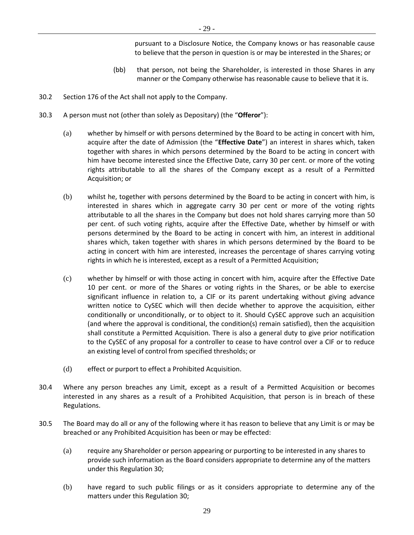pursuant to a Disclosure Notice, the Company knows or has reasonable cause to believe that the person in question is or may be interested in the Shares; or

- (bb) that person, not being the Shareholder, is interested in those Shares in any manner or the Company otherwise has reasonable cause to believe that it is.
- 30.2 Section 176 of the Act shall not apply to the Company.
- 30.3 A person must not (other than solely as Depositary) (the "**Offeror**"):
	- (a) whether by himself or with persons determined by the Board to be acting in concert with him, acquire after the date of Admission (the "**Effective Date**") an interest in shares which, taken together with shares in which persons determined by the Board to be acting in concert with him have become interested since the Effective Date, carry 30 per cent. or more of the voting rights attributable to all the shares of the Company except as a result of a Permitted Acquisition; or
	- (b) whilst he, together with persons determined by the Board to be acting in concert with him, is interested in shares which in aggregate carry 30 per cent or more of the voting rights attributable to all the shares in the Company but does not hold shares carrying more than 50 per cent. of such voting rights, acquire after the Effective Date, whether by himself or with persons determined by the Board to be acting in concert with him, an interest in additional shares which, taken together with shares in which persons determined by the Board to be acting in concert with him are interested, increases the percentage of shares carrying voting rights in which he is interested, except as a result of a Permitted Acquisition;
	- (c) whether by himself or with those acting in concert with him, acquire after the Effective Date 10 per cent. or more of the Shares or voting rights in the Shares, or be able to exercise significant influence in relation to, a CIF or its parent undertaking without giving advance written notice to CySEC which will then decide whether to approve the acquisition, either conditionally or unconditionally, or to object to it. Should CySEC approve such an acquisition (and where the approval is conditional, the condition(s) remain satisfied), then the acquisition shall constitute a Permitted Acquisition. There is also a general duty to give prior notification to the CySEC of any proposal for a controller to cease to have control over a CIF or to reduce an existing level of control from specified thresholds; or
	- (d) effect or purport to effect a Prohibited Acquisition.
- 30.4 Where any person breaches any Limit, except as a result of a Permitted Acquisition or becomes interested in any shares as a result of a Prohibited Acquisition, that person is in breach of these Regulations.
- 30.5 The Board may do all or any of the following where it has reason to believe that any Limit is or may be breached or any Prohibited Acquisition has been or may be effected:
	- (a) require any Shareholder or person appearing or purporting to be interested in any shares to provide such information as the Board considers appropriate to determine any of the matters under this Regulation 30;
	- (b) have regard to such public filings or as it considers appropriate to determine any of the matters under this Regulation 30;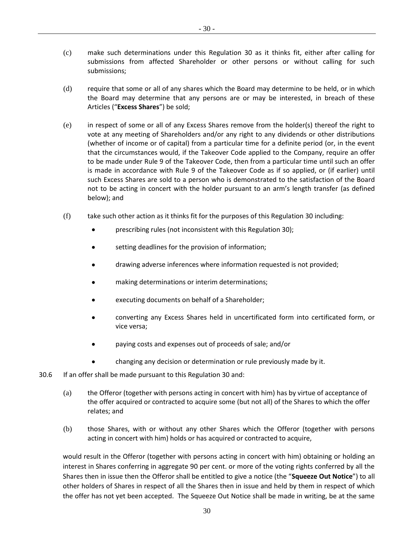- (c) make such determinations under this Regulation 30 as it thinks fit, either after calling for submissions from affected Shareholder or other persons or without calling for such submissions;
- (d) require that some or all of any shares which the Board may determine to be held, or in which the Board may determine that any persons are or may be interested, in breach of these Articles ("**Excess Shares**") be sold;
- (e) in respect of some or all of any Excess Shares remove from the holder(s) thereof the right to vote at any meeting of Shareholders and/or any right to any dividends or other distributions (whether of income or of capital) from a particular time for a definite period (or, in the event that the circumstances would, if the Takeover Code applied to the Company, require an offer to be made under Rule 9 of the Takeover Code, then from a particular time until such an offer is made in accordance with Rule 9 of the Takeover Code as if so applied, or (if earlier) until such Excess Shares are sold to a person who is demonstrated to the satisfaction of the Board not to be acting in concert with the holder pursuant to an arm's length transfer (as defined below); and
- (f) take such other action as it thinks fit for the purposes of this Regulation 30 including:
	- prescribing rules (not inconsistent with this Regulation 30);
	- setting deadlines for the provision of information;
	- drawing adverse inferences where information requested is not provided;
	- making determinations or interim determinations;
	- executing documents on behalf of a Shareholder;
	- converting any Excess Shares held in uncertificated form into certificated form, or vice versa;
	- paying costs and expenses out of proceeds of sale; and/or
	- changing any decision or determination or rule previously made by it.
- 30.6 If an offer shall be made pursuant to this Regulation 30 and:
	- (a) the Offeror (together with persons acting in concert with him) has by virtue of acceptance of the offer acquired or contracted to acquire some (but not all) of the Shares to which the offer relates; and
	- (b) those Shares, with or without any other Shares which the Offeror (together with persons acting in concert with him) holds or has acquired or contracted to acquire,

would result in the Offeror (together with persons acting in concert with him) obtaining or holding an interest in Shares conferring in aggregate 90 per cent. or more of the voting rights conferred by all the Shares then in issue then the Offeror shall be entitled to give a notice (the "**Squeeze Out Notice**") to all other holders of Shares in respect of all the Shares then in issue and held by them in respect of which the offer has not yet been accepted. The Squeeze Out Notice shall be made in writing, be at the same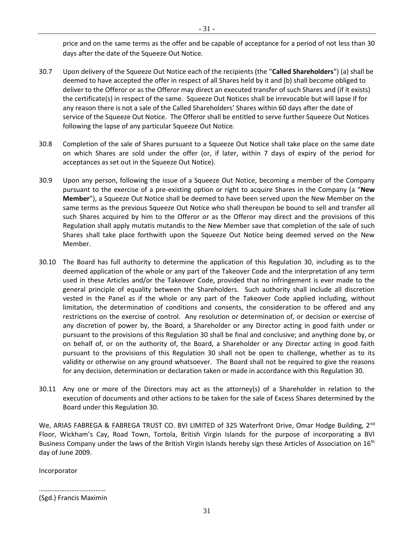price and on the same terms as the offer and be capable of acceptance for a period of not less than 30 days after the date of the Squeeze Out Notice.

- 30.7 Upon delivery of the Squeeze Out Notice each of the recipients (the "**Called Shareholders**") (a) shall be deemed to have accepted the offer in respect of all Shares held by it and (b) shall become obliged to deliver to the Offeror or as the Offeror may direct an executed transfer of such Shares and (if it exists) the certificate(s) in respect of the same. Squeeze Out Notices shall be irrevocable but will lapse if for any reason there is not a sale of the Called Shareholders' Shares within 60 days after the date of service of the Squeeze Out Notice. The Offeror shall be entitled to serve further Squeeze Out Notices following the lapse of any particular Squeeze Out Notice.
- 30.8 Completion of the sale of Shares pursuant to a Squeeze Out Notice shall take place on the same date on which Shares are sold under the offer (or, if later, within 7 days of expiry of the period for acceptances as set out in the Squeeze Out Notice).
- 30.9 Upon any person, following the issue of a Squeeze Out Notice, becoming a member of the Company pursuant to the exercise of a pre-existing option or right to acquire Shares in the Company (a "**New Member**"), a Squeeze Out Notice shall be deemed to have been served upon the New Member on the same terms as the previous Squeeze Out Notice who shall thereupon be bound to sell and transfer all such Shares acquired by him to the Offeror or as the Offeror may direct and the provisions of this Regulation shall apply mutatis mutandis to the New Member save that completion of the sale of such Shares shall take place forthwith upon the Squeeze Out Notice being deemed served on the New Member.
- 30.10 The Board has full authority to determine the application of this Regulation 30, including as to the deemed application of the whole or any part of the Takeover Code and the interpretation of any term used in these Articles and/or the Takeover Code, provided that no infringement is ever made to the general principle of equality between the Shareholders. Such authority shall include all discretion vested in the Panel as if the whole or any part of the Takeover Code applied including, without limitation, the determination of conditions and consents, the consideration to be offered and any restrictions on the exercise of control. Any resolution or determination of, or decision or exercise of any discretion of power by, the Board, a Shareholder or any Director acting in good faith under or pursuant to the provisions of this Regulation 30 shall be final and conclusive; and anything done by, or on behalf of, or on the authority of, the Board, a Shareholder or any Director acting in good faith pursuant to the provisions of this Regulation 30 shall not be open to challenge, whether as to its validity or otherwise on any ground whatsoever. The Board shall not be required to give the reasons for any decision, determination or declaration taken or made in accordance with this Regulation 30.
- 30.11 Any one or more of the Directors may act as the attorney(s) of a Shareholder in relation to the execution of documents and other actions to be taken for the sale of Excess Shares determined by the Board under this Regulation 30.

We, ARIAS FABREGA & FABREGA TRUST CO. BVI LIMITED of 325 Waterfront Drive, Omar Hodge Building, 2<sup>nd</sup> Floor, Wickham's Cay, Road Town, Tortola, British Virgin Islands for the purpose of incorporating a BVI Business Company under the laws of the British Virgin Islands hereby sign these Articles of Association on 16<sup>th</sup> day of June 2009.

Incorporator

………………………………… (Sgd.) Francis Maximin